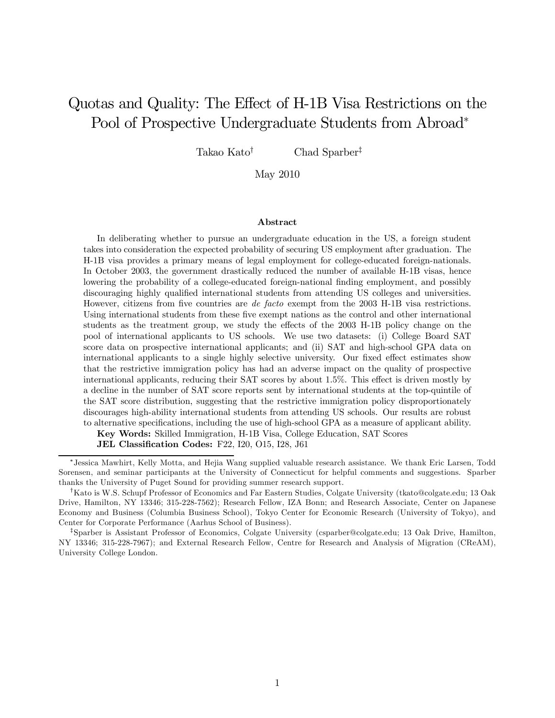# Quotas and Quality: The Effect of H-1B Visa Restrictions on the Pool of Prospective Undergraduate Students from Abroad<sup>∗</sup>

Takao Kato† Chad Sparber‡

May 2010

#### Abstract

In deliberating whether to pursue an undergraduate education in the US, a foreign student takes into consideration the expected probability of securing US employment after graduation. The H-1B visa provides a primary means of legal employment for college-educated foreign-nationals. In October 2003, the government drastically reduced the number of available H-1B visas, hence lowering the probability of a college-educated foreign-national finding employment, and possibly discouraging highly qualified international students from attending US colleges and universities. However, citizens from five countries are *de facto* exempt from the 2003 H-1B visa restrictions. Using international students from these five exempt nations as the control and other international students as the treatment group, we study the effects of the 2003 H-1B policy change on the pool of international applicants to US schools. We use two datasets: (i) College Board SAT score data on prospective international applicants; and (ii) SAT and high-school GPA data on international applicants to a single highly selective university. Our fixed effect estimates show that the restrictive immigration policy has had an adverse impact on the quality of prospective international applicants, reducing their SAT scores by about 1.5%. This effect is driven mostly by a decline in the number of SAT score reports sent by international students at the top-quintile of the SAT score distribution, suggesting that the restrictive immigration policy disproportionately discourages high-ability international students from attending US schools. Our results are robust to alternative specifications, including the use of high-school GPA as a measure of applicant ability.

Key Words: Skilled Immigration, H-1B Visa, College Education, SAT Scores

JEL Classification Codes: F22, I20, O15, I28, J61

<sup>∗</sup> Jessica Mawhirt, Kelly Motta, and Hejia Wang supplied valuable research assistance. We thank Eric Larsen, Todd Sorensen, and seminar participants at the University of Connecticut for helpful comments and suggestions. Sparber thanks the University of Puget Sound for providing summer research support.

<sup>†</sup>Kato is W.S. Schupf Professor of Economics and Far Eastern Studies, Colgate University (tkato@colgate.edu; 13 Oak Drive, Hamilton, NY 13346; 315-228-7562); Research Fellow, IZA Bonn; and Research Associate, Center on Japanese Economy and Business (Columbia Business School), Tokyo Center for Economic Research (University of Tokyo), and Center for Corporate Performance (Aarhus School of Business).

<sup>‡</sup> Sparber is Assistant Professor of Economics, Colgate University (csparber@colgate.edu; 13 Oak Drive, Hamilton, NY 13346; 315-228-7967); and External Research Fellow, Centre for Research and Analysis of Migration (CReAM), University College London.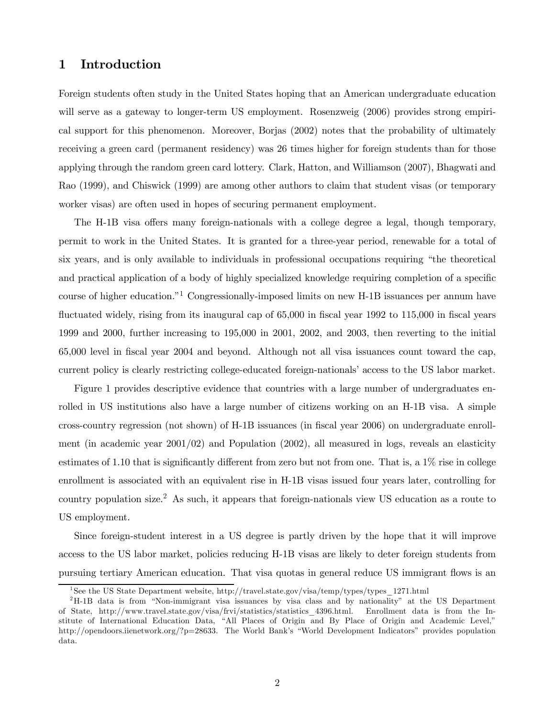### 1 Introduction

Foreign students often study in the United States hoping that an American undergraduate education will serve as a gateway to longer-term US employment. Rosenzweig (2006) provides strong empirical support for this phenomenon. Moreover, Borjas (2002) notes that the probability of ultimately receiving a green card (permanent residency) was 26 times higher for foreign students than for those applying through the random green card lottery. Clark, Hatton, and Williamson (2007), Bhagwati and Rao (1999), and Chiswick (1999) are among other authors to claim that student visas (or temporary worker visas) are often used in hopes of securing permanent employment.

The H-1B visa offers many foreign-nationals with a college degree a legal, though temporary, permit to work in the United States. It is granted for a three-year period, renewable for a total of six years, and is only available to individuals in professional occupations requiring "the theoretical and practical application of a body of highly specialized knowledge requiring completion of a specific course of higher education."<sup>1</sup> Congressionally-imposed limits on new H-1B issuances per annum have fluctuated widely, rising from its inaugural cap of 65,000 in fiscal year 1992 to 115,000 in fiscal years 1999 and 2000, further increasing to 195,000 in 2001, 2002, and 2003, then reverting to the initial 65,000 level in fiscal year 2004 and beyond. Although not all visa issuances count toward the cap, current policy is clearly restricting college-educated foreign-nationals' access to the US labor market.

Figure 1 provides descriptive evidence that countries with a large number of undergraduates enrolled in US institutions also have a large number of citizens working on an H-1B visa. A simple cross-country regression (not shown) of H-1B issuances (in fiscal year 2006) on undergraduate enrollment (in academic year  $2001/02$ ) and Population  $(2002)$ , all measured in logs, reveals an elasticity estimates of 1.10 that is significantly different from zero but not from one. That is, a 1% rise in college enrollment is associated with an equivalent rise in H-1B visas issued four years later, controlling for country population size.<sup>2</sup> As such, it appears that foreign-nationals view US education as a route to US employment.

Since foreign-student interest in a US degree is partly driven by the hope that it will improve access to the US labor market, policies reducing H-1B visas are likely to deter foreign students from pursuing tertiary American education. That visa quotas in general reduce US immigrant flows is an

<sup>1</sup> See the US State Department website, http://travel.state.gov/visa/temp/types/types\_1271.html

<sup>2</sup>H-1B data is from "Non-immigrant visa issuances by visa class and by nationality" at the US Department of State, http://www.travel.state.gov/visa/frvi/statistics/statistics\_4396.html. Enrollment data is from the Institute of International Education Data, "All Places of Origin and By Place of Origin and Academic Level," http://opendoors.iienetwork.org/?p=28633. The World Bank's "World Development Indicators" provides population data.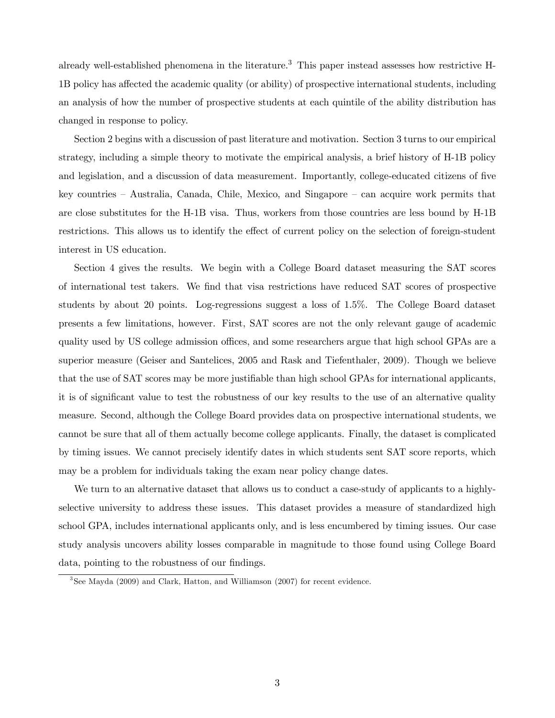already well-established phenomena in the literature.<sup>3</sup> This paper instead assesses how restrictive H-1B policy has affected the academic quality (or ability) of prospective international students, including an analysis of how the number of prospective students at each quintile of the ability distribution has changed in response to policy.

Section 2 begins with a discussion of past literature and motivation. Section 3 turns to our empirical strategy, including a simple theory to motivate the empirical analysis, a brief history of H-1B policy and legislation, and a discussion of data measurement. Importantly, college-educated citizens of five key countries — Australia, Canada, Chile, Mexico, and Singapore — can acquire work permits that are close substitutes for the H-1B visa. Thus, workers from those countries are less bound by H-1B restrictions. This allows us to identify the effect of current policy on the selection of foreign-student interest in US education.

Section 4 gives the results. We begin with a College Board dataset measuring the SAT scores of international test takers. We find that visa restrictions have reduced SAT scores of prospective students by about 20 points. Log-regressions suggest a loss of 1.5%. The College Board dataset presents a few limitations, however. First, SAT scores are not the only relevant gauge of academic quality used by US college admission offices, and some researchers argue that high school GPAs are a superior measure (Geiser and Santelices, 2005 and Rask and Tiefenthaler, 2009). Though we believe that the use of SAT scores may be more justifiable than high school GPAs for international applicants, it is of significant value to test the robustness of our key results to the use of an alternative quality measure. Second, although the College Board provides data on prospective international students, we cannot be sure that all of them actually become college applicants. Finally, the dataset is complicated by timing issues. We cannot precisely identify dates in which students sent SAT score reports, which may be a problem for individuals taking the exam near policy change dates.

We turn to an alternative dataset that allows us to conduct a case-study of applicants to a highlyselective university to address these issues. This dataset provides a measure of standardized high school GPA, includes international applicants only, and is less encumbered by timing issues. Our case study analysis uncovers ability losses comparable in magnitude to those found using College Board data, pointing to the robustness of our findings.

<sup>3</sup> See Mayda (2009) and Clark, Hatton, and Williamson (2007) for recent evidence.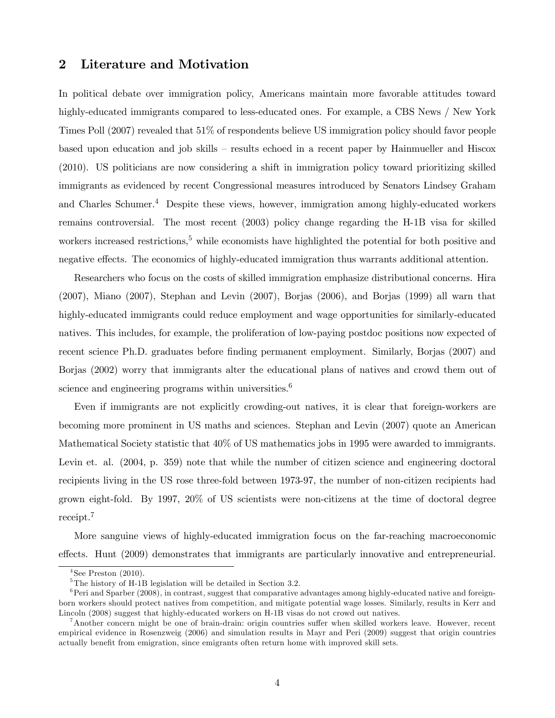## 2 Literature and Motivation

In political debate over immigration policy, Americans maintain more favorable attitudes toward highly-educated immigrants compared to less-educated ones. For example, a CBS News / New York Times Poll (2007) revealed that 51% of respondents believe US immigration policy should favor people based upon education and job skills — results echoed in a recent paper by Hainmueller and Hiscox (2010). US politicians are now considering a shift in immigration policy toward prioritizing skilled immigrants as evidenced by recent Congressional measures introduced by Senators Lindsey Graham and Charles Schumer.<sup>4</sup> Despite these views, however, immigration among highly-educated workers remains controversial. The most recent (2003) policy change regarding the H-1B visa for skilled workers increased restrictions,<sup>5</sup> while economists have highlighted the potential for both positive and negative effects. The economics of highly-educated immigration thus warrants additional attention.

Researchers who focus on the costs of skilled immigration emphasize distributional concerns. Hira (2007), Miano (2007), Stephan and Levin (2007), Borjas (2006), and Borjas (1999) all warn that highly-educated immigrants could reduce employment and wage opportunities for similarly-educated natives. This includes, for example, the proliferation of low-paying postdoc positions now expected of recent science Ph.D. graduates before finding permanent employment. Similarly, Borjas (2007) and Borjas (2002) worry that immigrants alter the educational plans of natives and crowd them out of science and engineering programs within universities.<sup>6</sup>

Even if immigrants are not explicitly crowding-out natives, it is clear that foreign-workers are becoming more prominent in US maths and sciences. Stephan and Levin (2007) quote an American Mathematical Society statistic that 40% of US mathematics jobs in 1995 were awarded to immigrants. Levin et. al. (2004, p. 359) note that while the number of citizen science and engineering doctoral recipients living in the US rose three-fold between 1973-97, the number of non-citizen recipients had grown eight-fold. By 1997, 20% of US scientists were non-citizens at the time of doctoral degree receipt.<sup>7</sup>

More sanguine views of highly-educated immigration focus on the far-reaching macroeconomic effects. Hunt (2009) demonstrates that immigrants are particularly innovative and entrepreneurial.

 $4$ See Preston  $(2010)$ .

 $5$ The history of H-1B legislation will be detailed in Section 3.2.

 $6$ Peri and Sparber (2008), in contrast, suggest that comparative advantages among highly-educated native and foreignborn workers should protect natives from competition, and mitigate potential wage losses. Similarly, results in Kerr and Lincoln (2008) suggest that highly-educated workers on H-1B visas do not crowd out natives.

<sup>&</sup>lt;sup>7</sup>Another concern might be one of brain-drain: origin countries suffer when skilled workers leave. However, recent empirical evidence in Rosenzweig (2006) and simulation results in Mayr and Peri (2009) suggest that origin countries actually benefit from emigration, since emigrants often return home with improved skill sets.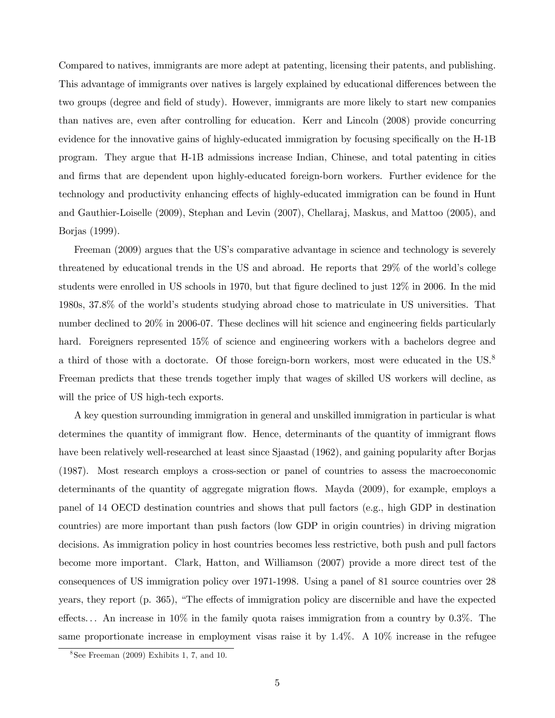Compared to natives, immigrants are more adept at patenting, licensing their patents, and publishing. This advantage of immigrants over natives is largely explained by educational differences between the two groups (degree and field of study). However, immigrants are more likely to start new companies than natives are, even after controlling for education. Kerr and Lincoln (2008) provide concurring evidence for the innovative gains of highly-educated immigration by focusing specifically on the H-1B program. They argue that H-1B admissions increase Indian, Chinese, and total patenting in cities and firms that are dependent upon highly-educated foreign-born workers. Further evidence for the technology and productivity enhancing effects of highly-educated immigration can be found in Hunt and Gauthier-Loiselle (2009), Stephan and Levin (2007), Chellaraj, Maskus, and Mattoo (2005), and Borjas (1999).

Freeman (2009) argues that the US's comparative advantage in science and technology is severely threatened by educational trends in the US and abroad. He reports that 29% of the world's college students were enrolled in US schools in 1970, but that figure declined to just 12% in 2006. In the mid 1980s, 37.8% of the world's students studying abroad chose to matriculate in US universities. That number declined to 20% in 2006-07. These declines will hit science and engineering fields particularly hard. Foreigners represented 15% of science and engineering workers with a bachelors degree and a third of those with a doctorate. Of those foreign-born workers, most were educated in the US.<sup>8</sup> Freeman predicts that these trends together imply that wages of skilled US workers will decline, as will the price of US high-tech exports.

A key question surrounding immigration in general and unskilled immigration in particular is what determines the quantity of immigrant flow. Hence, determinants of the quantity of immigrant flows have been relatively well-researched at least since Sjaastad (1962), and gaining popularity after Borjas (1987). Most research employs a cross-section or panel of countries to assess the macroeconomic determinants of the quantity of aggregate migration flows. Mayda (2009), for example, employs a panel of 14 OECD destination countries and shows that pull factors (e.g., high GDP in destination countries) are more important than push factors (low GDP in origin countries) in driving migration decisions. As immigration policy in host countries becomes less restrictive, both push and pull factors become more important. Clark, Hatton, and Williamson (2007) provide a more direct test of the consequences of US immigration policy over 1971-1998. Using a panel of 81 source countries over 28 years, they report (p. 365), "The effects of immigration policy are discernible and have the expected effects. . . An increase in 10% in the family quota raises immigration from a country by 0.3%. The same proportionate increase in employment visas raise it by  $1.4\%$ . A  $10\%$  increase in the refugee

 $8$ See Freeman (2009) Exhibits 1, 7, and 10.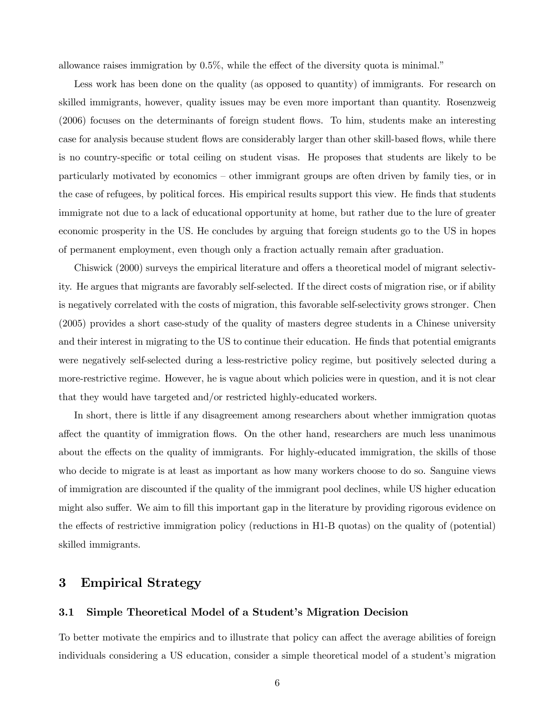allowance raises immigration by 0.5%, while the effect of the diversity quota is minimal."

Less work has been done on the quality (as opposed to quantity) of immigrants. For research on skilled immigrants, however, quality issues may be even more important than quantity. Rosenzweig (2006) focuses on the determinants of foreign student flows. To him, students make an interesting case for analysis because student flows are considerably larger than other skill-based flows, while there is no country-specific or total ceiling on student visas. He proposes that students are likely to be particularly motivated by economics — other immigrant groups are often driven by family ties, or in the case of refugees, by political forces. His empirical results support this view. He finds that students immigrate not due to a lack of educational opportunity at home, but rather due to the lure of greater economic prosperity in the US. He concludes by arguing that foreign students go to the US in hopes of permanent employment, even though only a fraction actually remain after graduation.

Chiswick (2000) surveys the empirical literature and offers a theoretical model of migrant selectivity. He argues that migrants are favorably self-selected. If the direct costs of migration rise, or if ability is negatively correlated with the costs of migration, this favorable self-selectivity grows stronger. Chen (2005) provides a short case-study of the quality of masters degree students in a Chinese university and their interest in migrating to the US to continue their education. He finds that potential emigrants were negatively self-selected during a less-restrictive policy regime, but positively selected during a more-restrictive regime. However, he is vague about which policies were in question, and it is not clear that they would have targeted and/or restricted highly-educated workers.

In short, there is little if any disagreement among researchers about whether immigration quotas affect the quantity of immigration flows. On the other hand, researchers are much less unanimous about the effects on the quality of immigrants. For highly-educated immigration, the skills of those who decide to migrate is at least as important as how many workers choose to do so. Sanguine views of immigration are discounted if the quality of the immigrant pool declines, while US higher education might also suffer. We aim to fill this important gap in the literature by providing rigorous evidence on the effects of restrictive immigration policy (reductions in H1-B quotas) on the quality of (potential) skilled immigrants.

### 3 Empirical Strategy

#### 3.1 Simple Theoretical Model of a Student's Migration Decision

To better motivate the empirics and to illustrate that policy can affect the average abilities of foreign individuals considering a US education, consider a simple theoretical model of a student's migration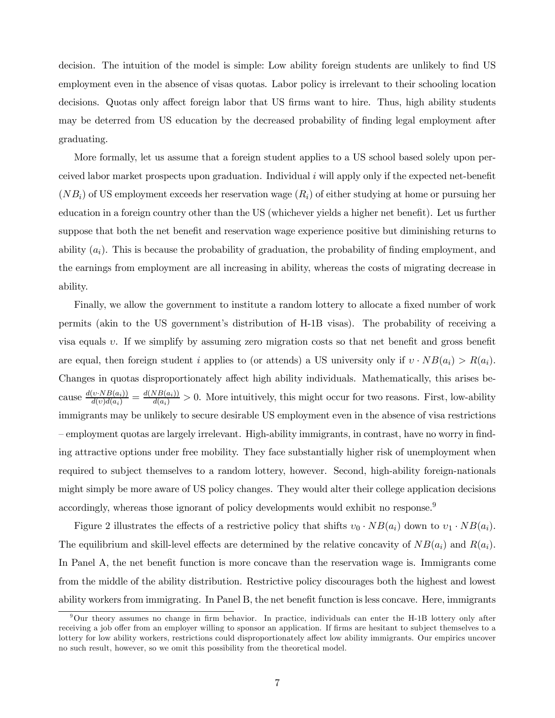decision. The intuition of the model is simple: Low ability foreign students are unlikely to find US employment even in the absence of visas quotas. Labor policy is irrelevant to their schooling location decisions. Quotas only affect foreign labor that US firms want to hire. Thus, high ability students may be deterred from US education by the decreased probability of finding legal employment after graduating.

More formally, let us assume that a foreign student applies to a US school based solely upon perceived labor market prospects upon graduation. Individual i will apply only if the expected net-benefit  $(NB_i)$  of US employment exceeds her reservation wage  $(R_i)$  of either studying at home or pursuing her education in a foreign country other than the US (whichever yields a higher net benefit). Let us further suppose that both the net benefit and reservation wage experience positive but diminishing returns to ability  $(a_i)$ . This is because the probability of graduation, the probability of finding employment, and the earnings from employment are all increasing in ability, whereas the costs of migrating decrease in ability.

Finally, we allow the government to institute a random lottery to allocate a fixed number of work permits (akin to the US government's distribution of H-1B visas). The probability of receiving a visa equals v. If we simplify by assuming zero migration costs so that net benefit and gross benefit are equal, then foreign student i applies to (or attends) a US university only if  $v \cdot NB(a_i) > R(a_i)$ . Changes in quotas disproportionately affect high ability individuals. Mathematically, this arises because  $\frac{d(v \cdot NB(a_i))}{d(v)d(a_i)} = \frac{d(NB(a_i))}{d(a_i)} > 0$ . More intuitively, this might occur for two reasons. First, low-ability immigrants may be unlikely to secure desirable US employment even in the absence of visa restrictions — employment quotas are largely irrelevant. High-ability immigrants, in contrast, have no worry in finding attractive options under free mobility. They face substantially higher risk of unemployment when required to subject themselves to a random lottery, however. Second, high-ability foreign-nationals might simply be more aware of US policy changes. They would alter their college application decisions accordingly, whereas those ignorant of policy developments would exhibit no response.<sup>9</sup>

Figure 2 illustrates the effects of a restrictive policy that shifts  $v_0 \cdot NB(a_i)$  down to  $v_1 \cdot NB(a_i)$ . The equilibrium and skill-level effects are determined by the relative concavity of  $NB(a_i)$  and  $R(a_i)$ . In Panel A, the net benefit function is more concave than the reservation wage is. Immigrants come from the middle of the ability distribution. Restrictive policy discourages both the highest and lowest ability workers from immigrating. In Panel B, the net benefit function is less concave. Here, immigrants

<sup>9</sup>Our theory assumes no change in firm behavior. In practice, individuals can enter the H-1B lottery only after receiving a job offer from an employer willing to sponsor an application. If firms are hesitant to subject themselves to a lottery for low ability workers, restrictions could disproportionately affect low ability immigrants. Our empirics uncover no such result, however, so we omit this possibility from the theoretical model.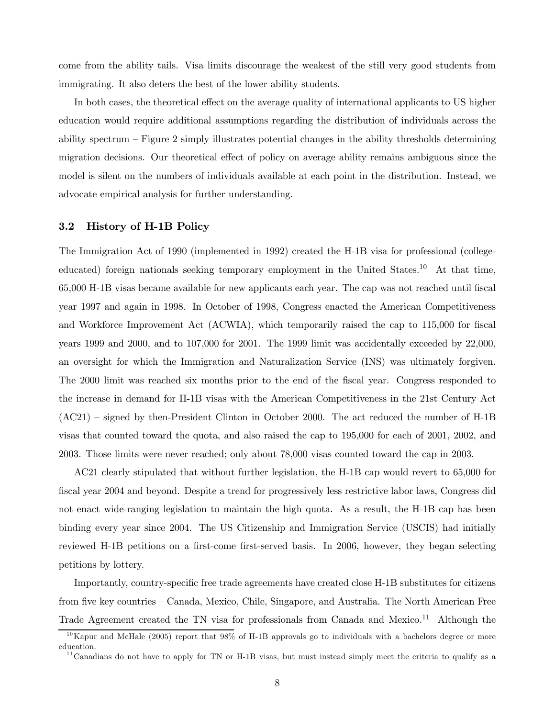come from the ability tails. Visa limits discourage the weakest of the still very good students from immigrating. It also deters the best of the lower ability students.

In both cases, the theoretical effect on the average quality of international applicants to US higher education would require additional assumptions regarding the distribution of individuals across the ability spectrum — Figure 2 simply illustrates potential changes in the ability thresholds determining migration decisions. Our theoretical effect of policy on average ability remains ambiguous since the model is silent on the numbers of individuals available at each point in the distribution. Instead, we advocate empirical analysis for further understanding.

#### 3.2 History of H-1B Policy

The Immigration Act of 1990 (implemented in 1992) created the H-1B visa for professional (collegeeducated) foreign nationals seeking temporary employment in the United States.<sup>10</sup> At that time, 65,000 H-1B visas became available for new applicants each year. The cap was not reached until fiscal year 1997 and again in 1998. In October of 1998, Congress enacted the American Competitiveness and Workforce Improvement Act (ACWIA), which temporarily raised the cap to 115,000 for fiscal years 1999 and 2000, and to 107,000 for 2001. The 1999 limit was accidentally exceeded by 22,000, an oversight for which the Immigration and Naturalization Service (INS) was ultimately forgiven. The 2000 limit was reached six months prior to the end of the fiscal year. Congress responded to the increase in demand for H-1B visas with the American Competitiveness in the 21st Century Act (AC21) — signed by then-President Clinton in October 2000. The act reduced the number of H-1B visas that counted toward the quota, and also raised the cap to 195,000 for each of 2001, 2002, and 2003. Those limits were never reached; only about 78,000 visas counted toward the cap in 2003.

AC21 clearly stipulated that without further legislation, the H-1B cap would revert to 65,000 for fiscal year 2004 and beyond. Despite a trend for progressively less restrictive labor laws, Congress did not enact wide-ranging legislation to maintain the high quota. As a result, the H-1B cap has been binding every year since 2004. The US Citizenship and Immigration Service (USCIS) had initially reviewed H-1B petitions on a first-come first-served basis. In 2006, however, they began selecting petitions by lottery.

Importantly, country-specific free trade agreements have created close H-1B substitutes for citizens from five key countries — Canada, Mexico, Chile, Singapore, and Australia. The North American Free Trade Agreement created the TN visa for professionals from Canada and Mexico.<sup>11</sup> Although the

 $^{10}$ Kapur and McHale (2005) report that 98% of H-1B approvals go to individuals with a bachelors degree or more education.

 $11$ Canadians do not have to apply for TN or H-1B visas, but must instead simply meet the criteria to qualify as a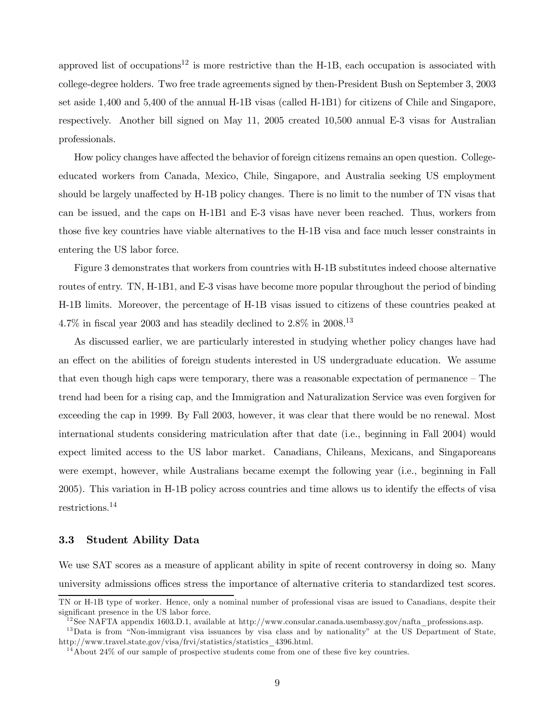approved list of occupations<sup>12</sup> is more restrictive than the H-1B, each occupation is associated with college-degree holders. Two free trade agreements signed by then-President Bush on September 3, 2003 set aside 1,400 and 5,400 of the annual H-1B visas (called H-1B1) for citizens of Chile and Singapore, respectively. Another bill signed on May 11, 2005 created 10,500 annual E-3 visas for Australian professionals.

How policy changes have affected the behavior of foreign citizens remains an open question. Collegeeducated workers from Canada, Mexico, Chile, Singapore, and Australia seeking US employment should be largely unaffected by H-1B policy changes. There is no limit to the number of TN visas that can be issued, and the caps on H-1B1 and E-3 visas have never been reached. Thus, workers from those five key countries have viable alternatives to the H-1B visa and face much lesser constraints in entering the US labor force.

Figure 3 demonstrates that workers from countries with H-1B substitutes indeed choose alternative routes of entry. TN, H-1B1, and E-3 visas have become more popular throughout the period of binding H-1B limits. Moreover, the percentage of H-1B visas issued to citizens of these countries peaked at 4.7% in fiscal year 2003 and has steadily declined to  $2.8\%$  in  $2008^{13}$ 

As discussed earlier, we are particularly interested in studying whether policy changes have had an effect on the abilities of foreign students interested in US undergraduate education. We assume that even though high caps were temporary, there was a reasonable expectation of permanence — The trend had been for a rising cap, and the Immigration and Naturalization Service was even forgiven for exceeding the cap in 1999. By Fall 2003, however, it was clear that there would be no renewal. Most international students considering matriculation after that date (i.e., beginning in Fall 2004) would expect limited access to the US labor market. Canadians, Chileans, Mexicans, and Singaporeans were exempt, however, while Australians became exempt the following year (i.e., beginning in Fall 2005). This variation in H-1B policy across countries and time allows us to identify the effects of visa restrictions.<sup>14</sup>

#### 3.3 Student Ability Data

We use SAT scores as a measure of applicant ability in spite of recent controversy in doing so. Many university admissions offices stress the importance of alternative criteria to standardized test scores.

TN or H-1B type of worker. Hence, only a nominal number of professional visas are issued to Canadians, despite their significant presence in the US labor force.

<sup>&</sup>lt;sup>12</sup>See NAFTA appendix 1603.D.1, available at http://www.consular.canada.usembassy.gov/nafta\_professions.asp.

<sup>&</sup>lt;sup>13</sup>Data is from "Non-immigrant visa issuances by visa class and by nationality" at the US Department of State, http://www.travel.state.gov/visa/frvi/statistics/statistics\_4396.html.

 $14$ About 24% of our sample of prospective students come from one of these five key countries.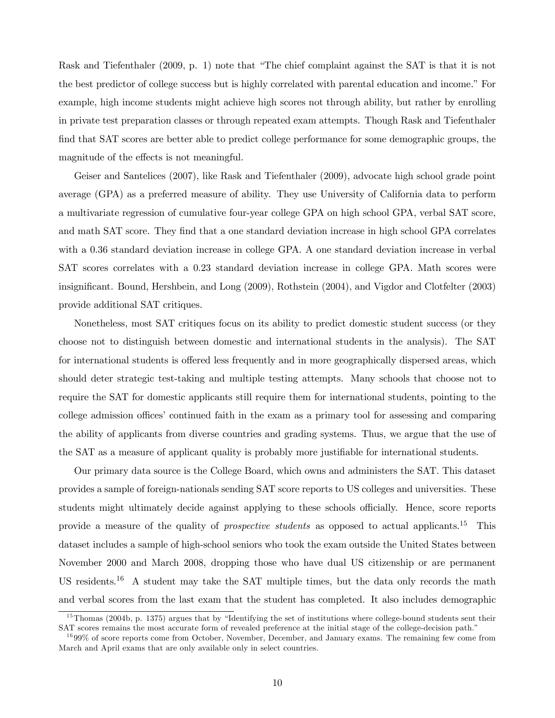Rask and Tiefenthaler (2009, p. 1) note that "The chief complaint against the SAT is that it is not the best predictor of college success but is highly correlated with parental education and income." For example, high income students might achieve high scores not through ability, but rather by enrolling in private test preparation classes or through repeated exam attempts. Though Rask and Tiefenthaler find that SAT scores are better able to predict college performance for some demographic groups, the magnitude of the effects is not meaningful.

Geiser and Santelices (2007), like Rask and Tiefenthaler (2009), advocate high school grade point average (GPA) as a preferred measure of ability. They use University of California data to perform a multivariate regression of cumulative four-year college GPA on high school GPA, verbal SAT score, and math SAT score. They find that a one standard deviation increase in high school GPA correlates with a 0.36 standard deviation increase in college GPA. A one standard deviation increase in verbal SAT scores correlates with a 0.23 standard deviation increase in college GPA. Math scores were insignificant. Bound, Hershbein, and Long (2009), Rothstein (2004), and Vigdor and Clotfelter (2003) provide additional SAT critiques.

Nonetheless, most SAT critiques focus on its ability to predict domestic student success (or they choose not to distinguish between domestic and international students in the analysis). The SAT for international students is offered less frequently and in more geographically dispersed areas, which should deter strategic test-taking and multiple testing attempts. Many schools that choose not to require the SAT for domestic applicants still require them for international students, pointing to the college admission offices' continued faith in the exam as a primary tool for assessing and comparing the ability of applicants from diverse countries and grading systems. Thus, we argue that the use of the SAT as a measure of applicant quality is probably more justifiable for international students.

Our primary data source is the College Board, which owns and administers the SAT. This dataset provides a sample of foreign-nationals sending SAT score reports to US colleges and universities. These students might ultimately decide against applying to these schools officially. Hence, score reports provide a measure of the quality of *prospective students* as opposed to actual applicants.<sup>15</sup> This dataset includes a sample of high-school seniors who took the exam outside the United States between November 2000 and March 2008, dropping those who have dual US citizenship or are permanent US residents.<sup>16</sup> A student may take the SAT multiple times, but the data only records the math and verbal scores from the last exam that the student has completed. It also includes demographic

<sup>&</sup>lt;sup>15</sup>Thomas (2004b, p. 1375) argues that by "Identifying the set of institutions where college-bound students sent their SAT scores remains the most accurate form of revealed preference at the initial stage of the college-decision path."

<sup>&</sup>lt;sup>16</sup>99% of score reports come from October, November, December, and January exams. The remaining few come from March and April exams that are only available only in select countries.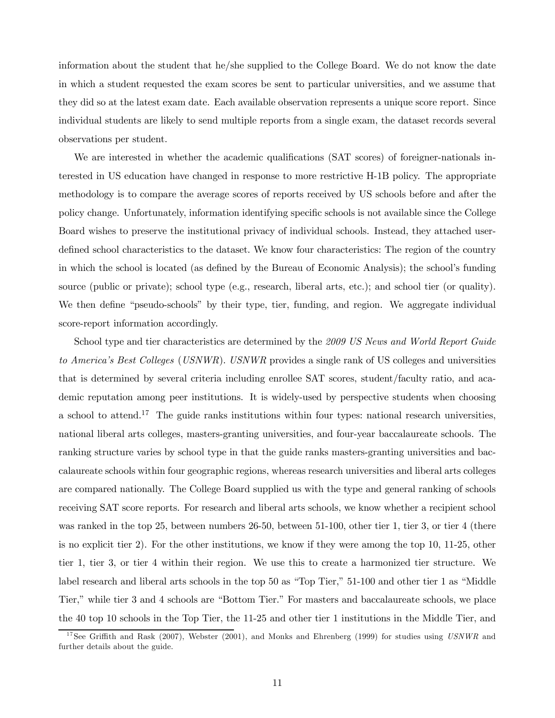information about the student that he/she supplied to the College Board. We do not know the date in which a student requested the exam scores be sent to particular universities, and we assume that they did so at the latest exam date. Each available observation represents a unique score report. Since individual students are likely to send multiple reports from a single exam, the dataset records several observations per student.

We are interested in whether the academic qualifications (SAT scores) of foreigner-nationals interested in US education have changed in response to more restrictive H-1B policy. The appropriate methodology is to compare the average scores of reports received by US schools before and after the policy change. Unfortunately, information identifying specific schools is not available since the College Board wishes to preserve the institutional privacy of individual schools. Instead, they attached userdefined school characteristics to the dataset. We know four characteristics: The region of the country in which the school is located (as defined by the Bureau of Economic Analysis); the school's funding source (public or private); school type (e.g., research, liberal arts, etc.); and school tier (or quality). We then define "pseudo-schools" by their type, tier, funding, and region. We aggregate individual score-report information accordingly.

School type and tier characteristics are determined by the *2009 US News and World Report Guide to America's Best Colleges* (*USNWR*). *USNWR* provides a single rank of US colleges and universities that is determined by several criteria including enrollee SAT scores, student/faculty ratio, and academic reputation among peer institutions. It is widely-used by perspective students when choosing a school to attend.<sup>17</sup> The guide ranks institutions within four types: national research universities, national liberal arts colleges, masters-granting universities, and four-year baccalaureate schools. The ranking structure varies by school type in that the guide ranks masters-granting universities and baccalaureate schools within four geographic regions, whereas research universities and liberal arts colleges are compared nationally. The College Board supplied us with the type and general ranking of schools receiving SAT score reports. For research and liberal arts schools, we know whether a recipient school was ranked in the top 25, between numbers 26-50, between 51-100, other tier 1, tier 3, or tier 4 (there is no explicit tier 2). For the other institutions, we know if they were among the top 10, 11-25, other tier 1, tier 3, or tier 4 within their region. We use this to create a harmonized tier structure. We label research and liberal arts schools in the top 50 as "Top Tier," 51-100 and other tier 1 as "Middle Tier," while tier 3 and 4 schools are "Bottom Tier." For masters and baccalaureate schools, we place the 40 top 10 schools in the Top Tier, the 11-25 and other tier 1 institutions in the Middle Tier, and

<sup>&</sup>lt;sup>17</sup>See Griffith and Rask (2007), Webster (2001), and Monks and Ehrenberg (1999) for studies using *USNWR* and further details about the guide.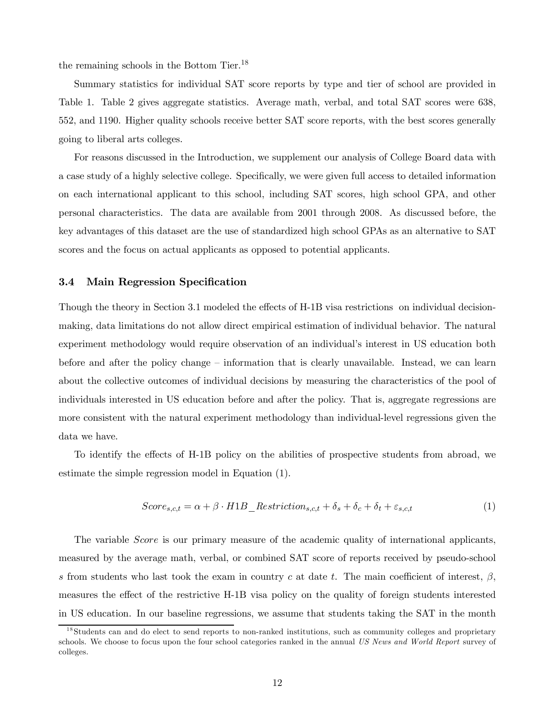the remaining schools in the Bottom Tier.<sup>18</sup>

Summary statistics for individual SAT score reports by type and tier of school are provided in Table 1. Table 2 gives aggregate statistics. Average math, verbal, and total SAT scores were 638, 552, and 1190. Higher quality schools receive better SAT score reports, with the best scores generally going to liberal arts colleges.

For reasons discussed in the Introduction, we supplement our analysis of College Board data with a case study of a highly selective college. Specifically, we were given full access to detailed information on each international applicant to this school, including SAT scores, high school GPA, and other personal characteristics. The data are available from 2001 through 2008. As discussed before, the key advantages of this dataset are the use of standardized high school GPAs as an alternative to SAT scores and the focus on actual applicants as opposed to potential applicants.

#### 3.4 Main Regression Specification

Though the theory in Section 3.1 modeled the effects of H-1B visa restrictions on individual decisionmaking, data limitations do not allow direct empirical estimation of individual behavior. The natural experiment methodology would require observation of an individual's interest in US education both before and after the policy change — information that is clearly unavailable. Instead, we can learn about the collective outcomes of individual decisions by measuring the characteristics of the pool of individuals interested in US education before and after the policy. That is, aggregate regressions are more consistent with the natural experiment methodology than individual-level regressions given the data we have.

To identify the effects of H-1B policy on the abilities of prospective students from abroad, we estimate the simple regression model in Equation (1).

$$
Score_{s,c,t} = \alpha + \beta \cdot H1B\_Restriction_{s,c,t} + \delta_s + \delta_c + \delta_t + \varepsilon_{s,c,t}
$$
 (1)

The variable *Score* is our primary measure of the academic quality of international applicants, measured by the average math, verbal, or combined SAT score of reports received by pseudo-school s from students who last took the exam in country c at date t. The main coefficient of interest,  $\beta$ , measures the effect of the restrictive H-1B visa policy on the quality of foreign students interested in US education. In our baseline regressions, we assume that students taking the SAT in the month

<sup>&</sup>lt;sup>18</sup>Students can and do elect to send reports to non-ranked institutions, such as community colleges and proprietary schools. We choose to focus upon the four school categories ranked in the annual *US News and World Report* survey of colleges.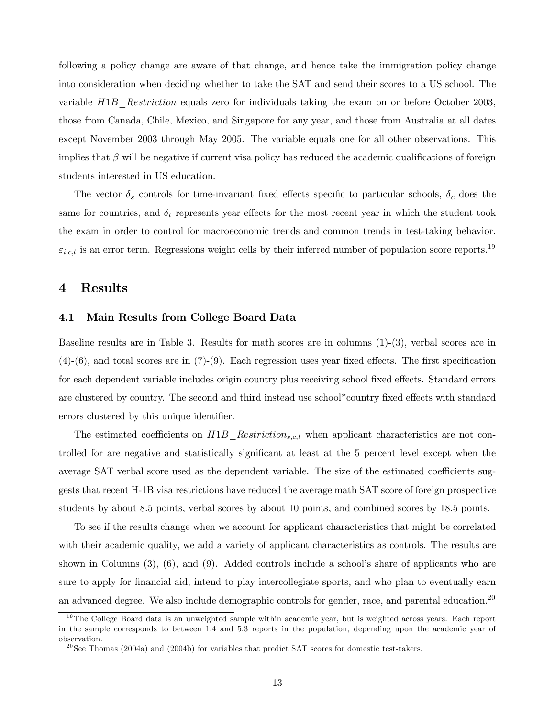following a policy change are aware of that change, and hence take the immigration policy change into consideration when deciding whether to take the SAT and send their scores to a US school. The variable H1B\_*Re*striction equals zero for individuals taking the exam on or before October 2003, those from Canada, Chile, Mexico, and Singapore for any year, and those from Australia at all dates except November 2003 through May 2005. The variable equals one for all other observations. This implies that  $\beta$  will be negative if current visa policy has reduced the academic qualifications of foreign students interested in US education.

The vector  $\delta_s$  controls for time-invariant fixed effects specific to particular schools,  $\delta_c$  does the same for countries, and  $\delta_t$  represents year effects for the most recent year in which the student took the exam in order to control for macroeconomic trends and common trends in test-taking behavior.  $\varepsilon_{i,c,t}$  is an error term. Regressions weight cells by their inferred number of population score reports.<sup>19</sup>

### 4 Results

#### 4.1 Main Results from College Board Data

Baseline results are in Table 3. Results for math scores are in columns (1)-(3), verbal scores are in (4)-(6), and total scores are in (7)-(9). Each regression uses year fixed effects. The first specification for each dependent variable includes origin country plus receiving school fixed effects. Standard errors are clustered by country. The second and third instead use school\*country fixed effects with standard errors clustered by this unique identifier.

The estimated coefficients on  $H1B_{R}$ *Restriction<sub>s,c,t</sub>* when applicant characteristics are not controlled for are negative and statistically significant at least at the 5 percent level except when the average SAT verbal score used as the dependent variable. The size of the estimated coefficients suggests that recent H-1B visa restrictions have reduced the average math SAT score of foreign prospective students by about 8.5 points, verbal scores by about 10 points, and combined scores by 18.5 points.

To see if the results change when we account for applicant characteristics that might be correlated with their academic quality, we add a variety of applicant characteristics as controls. The results are shown in Columns (3), (6), and (9). Added controls include a school's share of applicants who are sure to apply for financial aid, intend to play intercollegiate sports, and who plan to eventually earn an advanced degree. We also include demographic controls for gender, race, and parental education.<sup>20</sup>

 $19$ The College Board data is an unweighted sample within academic year, but is weighted across years. Each report in the sample corresponds to between 1.4 and 5.3 reports in the population, depending upon the academic year of observation.

 $^{20}$ See Thomas (2004a) and (2004b) for variables that predict SAT scores for domestic test-takers.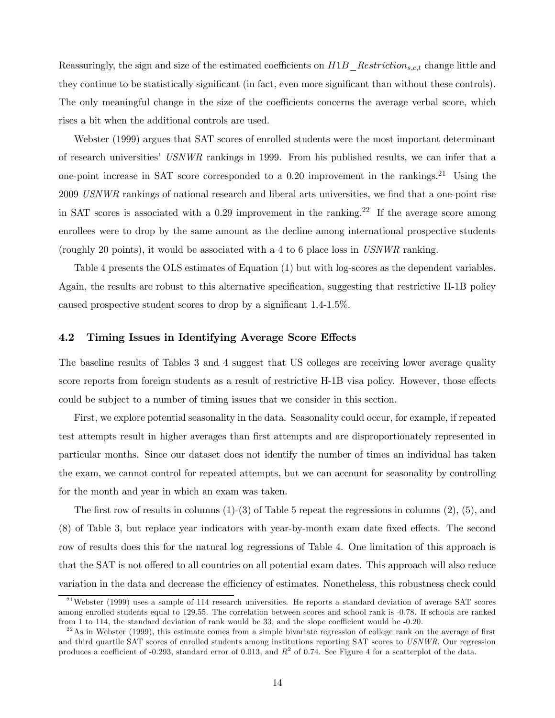Reassuringly, the sign and size of the estimated coefficients on H1B\_*Re*strictions,c,t change little and they continue to be statistically significant (in fact, even more significant than without these controls). The only meaningful change in the size of the coefficients concerns the average verbal score, which rises a bit when the additional controls are used.

Webster (1999) argues that SAT scores of enrolled students were the most important determinant of research universities' *USNWR* rankings in 1999. From his published results, we can infer that a one-point increase in SAT score corresponded to a 0.20 improvement in the rankings.<sup>21</sup> Using the 2009 *USNWR* rankings of national research and liberal arts universities, we find that a one-point rise in SAT scores is associated with a 0.29 improvement in the ranking.<sup>22</sup> If the average score among enrollees were to drop by the same amount as the decline among international prospective students (roughly 20 points), it would be associated with a 4 to 6 place loss in *USNWR* ranking.

Table 4 presents the OLS estimates of Equation (1) but with log-scores as the dependent variables. Again, the results are robust to this alternative specification, suggesting that restrictive H-1B policy caused prospective student scores to drop by a significant 1.4-1.5%.

#### 4.2 Timing Issues in Identifying Average Score Effects

The baseline results of Tables 3 and 4 suggest that US colleges are receiving lower average quality score reports from foreign students as a result of restrictive H-1B visa policy. However, those effects could be subject to a number of timing issues that we consider in this section.

First, we explore potential seasonality in the data. Seasonality could occur, for example, if repeated test attempts result in higher averages than first attempts and are disproportionately represented in particular months. Since our dataset does not identify the number of times an individual has taken the exam, we cannot control for repeated attempts, but we can account for seasonality by controlling for the month and year in which an exam was taken.

The first row of results in columns  $(1)-(3)$  of Table 5 repeat the regressions in columns  $(2)$ ,  $(5)$ , and (8) of Table 3, but replace year indicators with year-by-month exam date fixed effects. The second row of results does this for the natural log regressions of Table 4. One limitation of this approach is that the SAT is not offered to all countries on all potential exam dates. This approach will also reduce variation in the data and decrease the efficiency of estimates. Nonetheless, this robustness check could

 $^{21}$ Webster (1999) uses a sample of 114 research universities. He reports a standard deviation of average SAT scores among enrolled students equal to 129.55. The correlation between scores and school rank is -0.78. If schools are ranked from 1 to 114, the standard deviation of rank would be 33, and the slope coefficient would be -0.20.

 $^{22}$ As in Webster (1999), this estimate comes from a simple bivariate regression of college rank on the average of first and third quartile SAT scores of enrolled students among institutions reporting SAT scores to *USNWR*. Our regression produces a coefficient of -0.293, standard error of 0.013, and  $R^2$  of 0.74. See Figure 4 for a scatterplot of the data.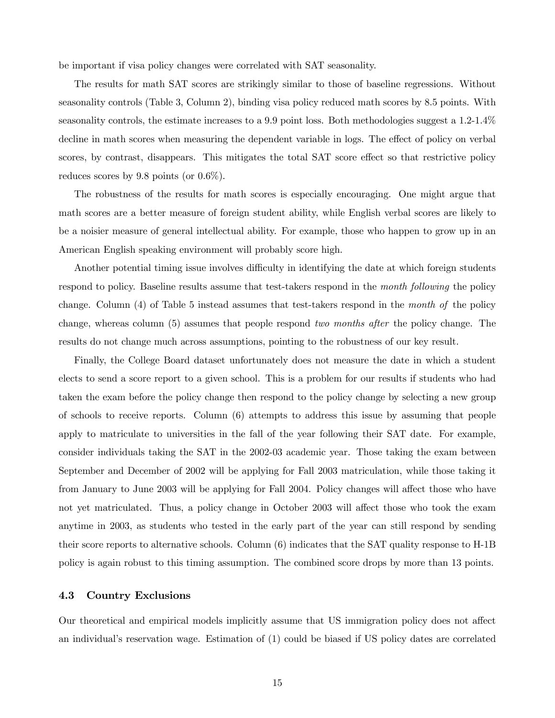be important if visa policy changes were correlated with SAT seasonality.

The results for math SAT scores are strikingly similar to those of baseline regressions. Without seasonality controls (Table 3, Column 2), binding visa policy reduced math scores by 8.5 points. With seasonality controls, the estimate increases to a 9.9 point loss. Both methodologies suggest a 1.2-1.4% decline in math scores when measuring the dependent variable in logs. The effect of policy on verbal scores, by contrast, disappears. This mitigates the total SAT score effect so that restrictive policy reduces scores by 9.8 points (or 0.6%).

The robustness of the results for math scores is especially encouraging. One might argue that math scores are a better measure of foreign student ability, while English verbal scores are likely to be a noisier measure of general intellectual ability. For example, those who happen to grow up in an American English speaking environment will probably score high.

Another potential timing issue involves difficulty in identifying the date at which foreign students respond to policy. Baseline results assume that test-takers respond in the *month following* the policy change. Column (4) of Table 5 instead assumes that test-takers respond in the *month of* the policy change, whereas column (5) assumes that people respond *two months after* the policy change. The results do not change much across assumptions, pointing to the robustness of our key result.

Finally, the College Board dataset unfortunately does not measure the date in which a student elects to send a score report to a given school. This is a problem for our results if students who had taken the exam before the policy change then respond to the policy change by selecting a new group of schools to receive reports. Column (6) attempts to address this issue by assuming that people apply to matriculate to universities in the fall of the year following their SAT date. For example, consider individuals taking the SAT in the 2002-03 academic year. Those taking the exam between September and December of 2002 will be applying for Fall 2003 matriculation, while those taking it from January to June 2003 will be applying for Fall 2004. Policy changes will affect those who have not yet matriculated. Thus, a policy change in October 2003 will affect those who took the exam anytime in 2003, as students who tested in the early part of the year can still respond by sending their score reports to alternative schools. Column (6) indicates that the SAT quality response to H-1B policy is again robust to this timing assumption. The combined score drops by more than 13 points.

#### 4.3 Country Exclusions

Our theoretical and empirical models implicitly assume that US immigration policy does not affect an individual's reservation wage. Estimation of (1) could be biased if US policy dates are correlated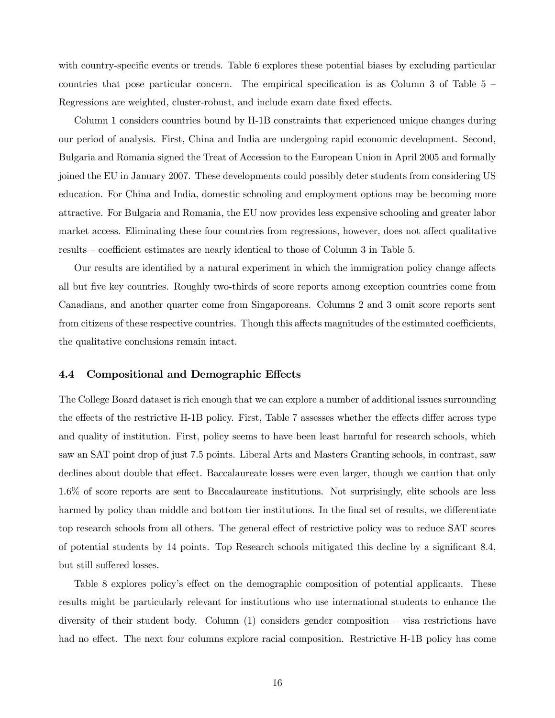with country-specific events or trends. Table 6 explores these potential biases by excluding particular countries that pose particular concern. The empirical specification is as Column  $3$  of Table  $5$  – Regressions are weighted, cluster-robust, and include exam date fixed effects.

Column 1 considers countries bound by H-1B constraints that experienced unique changes during our period of analysis. First, China and India are undergoing rapid economic development. Second, Bulgaria and Romania signed the Treat of Accession to the European Union in April 2005 and formally joined the EU in January 2007. These developments could possibly deter students from considering US education. For China and India, domestic schooling and employment options may be becoming more attractive. For Bulgaria and Romania, the EU now provides less expensive schooling and greater labor market access. Eliminating these four countries from regressions, however, does not affect qualitative results — coefficient estimates are nearly identical to those of Column 3 in Table 5.

Our results are identified by a natural experiment in which the immigration policy change affects all but five key countries. Roughly two-thirds of score reports among exception countries come from Canadians, and another quarter come from Singaporeans. Columns 2 and 3 omit score reports sent from citizens of these respective countries. Though this affects magnitudes of the estimated coefficients, the qualitative conclusions remain intact.

#### 4.4 Compositional and Demographic Effects

The College Board dataset is rich enough that we can explore a number of additional issues surrounding the effects of the restrictive H-1B policy. First, Table 7 assesses whether the effects differ across type and quality of institution. First, policy seems to have been least harmful for research schools, which saw an SAT point drop of just 7.5 points. Liberal Arts and Masters Granting schools, in contrast, saw declines about double that effect. Baccalaureate losses were even larger, though we caution that only 1.6% of score reports are sent to Baccalaureate institutions. Not surprisingly, elite schools are less harmed by policy than middle and bottom tier institutions. In the final set of results, we differentiate top research schools from all others. The general effect of restrictive policy was to reduce SAT scores of potential students by 14 points. Top Research schools mitigated this decline by a significant 8.4, but still suffered losses.

Table 8 explores policy's effect on the demographic composition of potential applicants. These results might be particularly relevant for institutions who use international students to enhance the diversity of their student body. Column (1) considers gender composition — visa restrictions have had no effect. The next four columns explore racial composition. Restrictive H-1B policy has come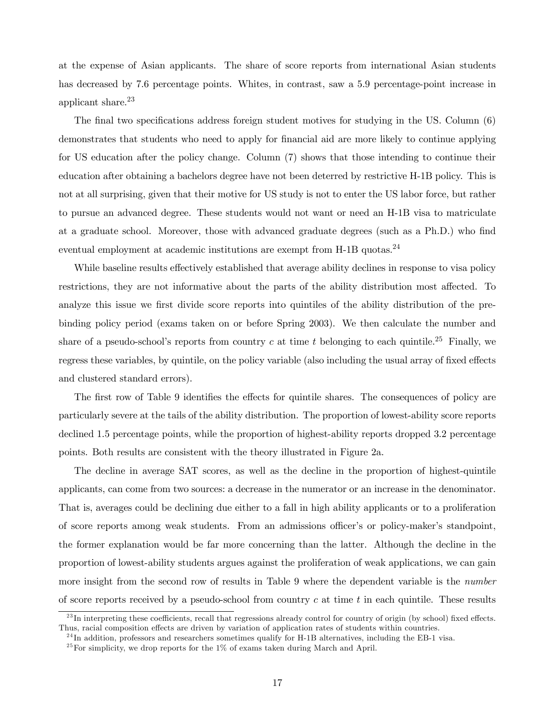at the expense of Asian applicants. The share of score reports from international Asian students has decreased by 7.6 percentage points. Whites, in contrast, saw a 5.9 percentage-point increase in applicant share.<sup>23</sup>

The final two specifications address foreign student motives for studying in the US. Column (6) demonstrates that students who need to apply for financial aid are more likely to continue applying for US education after the policy change. Column (7) shows that those intending to continue their education after obtaining a bachelors degree have not been deterred by restrictive H-1B policy. This is not at all surprising, given that their motive for US study is not to enter the US labor force, but rather to pursue an advanced degree. These students would not want or need an H-1B visa to matriculate at a graduate school. Moreover, those with advanced graduate degrees (such as a Ph.D.) who find eventual employment at academic institutions are exempt from  $H$ -1B quotas.<sup>24</sup>

While baseline results effectively established that average ability declines in response to visa policy restrictions, they are not informative about the parts of the ability distribution most affected. To analyze this issue we first divide score reports into quintiles of the ability distribution of the prebinding policy period (exams taken on or before Spring 2003). We then calculate the number and share of a pseudo-school's reports from country c at time t belonging to each quintile.<sup>25</sup> Finally, we regress these variables, by quintile, on the policy variable (also including the usual array of fixed effects and clustered standard errors).

The first row of Table 9 identifies the effects for quintile shares. The consequences of policy are particularly severe at the tails of the ability distribution. The proportion of lowest-ability score reports declined 1.5 percentage points, while the proportion of highest-ability reports dropped 3.2 percentage points. Both results are consistent with the theory illustrated in Figure 2a.

The decline in average SAT scores, as well as the decline in the proportion of highest-quintile applicants, can come from two sources: a decrease in the numerator or an increase in the denominator. That is, averages could be declining due either to a fall in high ability applicants or to a proliferation of score reports among weak students. From an admissions officer's or policy-maker's standpoint, the former explanation would be far more concerning than the latter. Although the decline in the proportion of lowest-ability students argues against the proliferation of weak applications, we can gain more insight from the second row of results in Table 9 where the dependent variable is the *number* of score reports received by a pseudo-school from country  $c$  at time  $t$  in each quintile. These results

 $^{23}$ In interpreting these coefficients, recall that regressions already control for country of origin (by school) fixed effects. Thus, racial composition effects are driven by variation of application rates of students within countries.

 $^{24}$ In addition, professors and researchers sometimes qualify for H-1B alternatives, including the EB-1 visa.

 $^{25}$  For simplicity, we drop reports for the 1% of exams taken during March and April.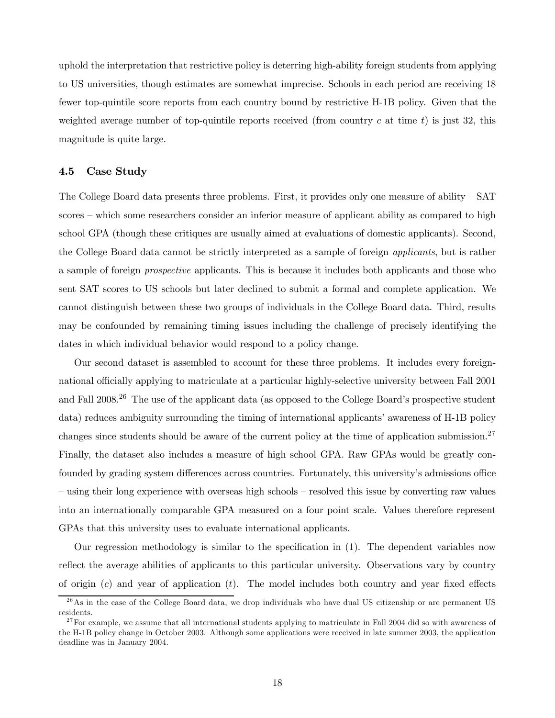uphold the interpretation that restrictive policy is deterring high-ability foreign students from applying to US universities, though estimates are somewhat imprecise. Schools in each period are receiving 18 fewer top-quintile score reports from each country bound by restrictive H-1B policy. Given that the weighted average number of top-quintile reports received (from country c at time t) is just 32, this magnitude is quite large.

#### 4.5 Case Study

The College Board data presents three problems. First, it provides only one measure of ability — SAT scores — which some researchers consider an inferior measure of applicant ability as compared to high school GPA (though these critiques are usually aimed at evaluations of domestic applicants). Second, the College Board data cannot be strictly interpreted as a sample of foreign *applicants*, but is rather a sample of foreign *prospective* applicants. This is because it includes both applicants and those who sent SAT scores to US schools but later declined to submit a formal and complete application. We cannot distinguish between these two groups of individuals in the College Board data. Third, results may be confounded by remaining timing issues including the challenge of precisely identifying the dates in which individual behavior would respond to a policy change.

Our second dataset is assembled to account for these three problems. It includes every foreignnational officially applying to matriculate at a particular highly-selective university between Fall 2001 and Fall 2008.<sup>26</sup> The use of the applicant data (as opposed to the College Board's prospective student data) reduces ambiguity surrounding the timing of international applicants' awareness of H-1B policy changes since students should be aware of the current policy at the time of application submission.<sup>27</sup> Finally, the dataset also includes a measure of high school GPA. Raw GPAs would be greatly confounded by grading system differences across countries. Fortunately, this university's admissions office — using their long experience with overseas high schools — resolved this issue by converting raw values into an internationally comparable GPA measured on a four point scale. Values therefore represent GPAs that this university uses to evaluate international applicants.

Our regression methodology is similar to the specification in (1). The dependent variables now reflect the average abilities of applicants to this particular university. Observations vary by country of origin  $(c)$  and year of application  $(t)$ . The model includes both country and year fixed effects

 $^{26}$ As in the case of the College Board data, we drop individuals who have dual US citizenship or are permanent US residents.

 $27$  For example, we assume that all international students applying to matriculate in Fall 2004 did so with awareness of the H-1B policy change in October 2003. Although some applications were received in late summer 2003, the application deadline was in January 2004.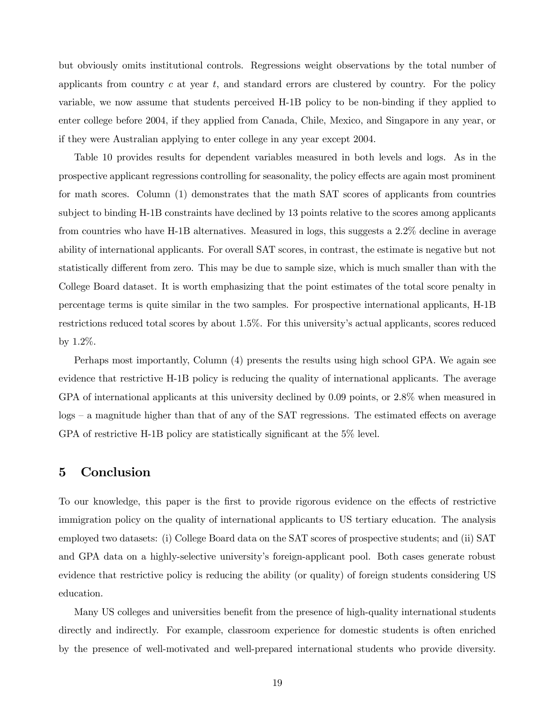but obviously omits institutional controls. Regressions weight observations by the total number of applicants from country  $c$  at year  $t$ , and standard errors are clustered by country. For the policy variable, we now assume that students perceived H-1B policy to be non-binding if they applied to enter college before 2004, if they applied from Canada, Chile, Mexico, and Singapore in any year, or if they were Australian applying to enter college in any year except 2004.

Table 10 provides results for dependent variables measured in both levels and logs. As in the prospective applicant regressions controlling for seasonality, the policy effects are again most prominent for math scores. Column (1) demonstrates that the math SAT scores of applicants from countries subject to binding H-1B constraints have declined by 13 points relative to the scores among applicants from countries who have H-1B alternatives. Measured in logs, this suggests a 2.2% decline in average ability of international applicants. For overall SAT scores, in contrast, the estimate is negative but not statistically different from zero. This may be due to sample size, which is much smaller than with the College Board dataset. It is worth emphasizing that the point estimates of the total score penalty in percentage terms is quite similar in the two samples. For prospective international applicants, H-1B restrictions reduced total scores by about 1.5%. For this university's actual applicants, scores reduced by 1.2%.

Perhaps most importantly, Column (4) presents the results using high school GPA. We again see evidence that restrictive H-1B policy is reducing the quality of international applicants. The average GPA of international applicants at this university declined by 0.09 points, or 2.8% when measured in logs — a magnitude higher than that of any of the SAT regressions. The estimated effects on average GPA of restrictive H-1B policy are statistically significant at the 5% level.

### 5 Conclusion

To our knowledge, this paper is the first to provide rigorous evidence on the effects of restrictive immigration policy on the quality of international applicants to US tertiary education. The analysis employed two datasets: (i) College Board data on the SAT scores of prospective students; and (ii) SAT and GPA data on a highly-selective university's foreign-applicant pool. Both cases generate robust evidence that restrictive policy is reducing the ability (or quality) of foreign students considering US education.

Many US colleges and universities benefit from the presence of high-quality international students directly and indirectly. For example, classroom experience for domestic students is often enriched by the presence of well-motivated and well-prepared international students who provide diversity.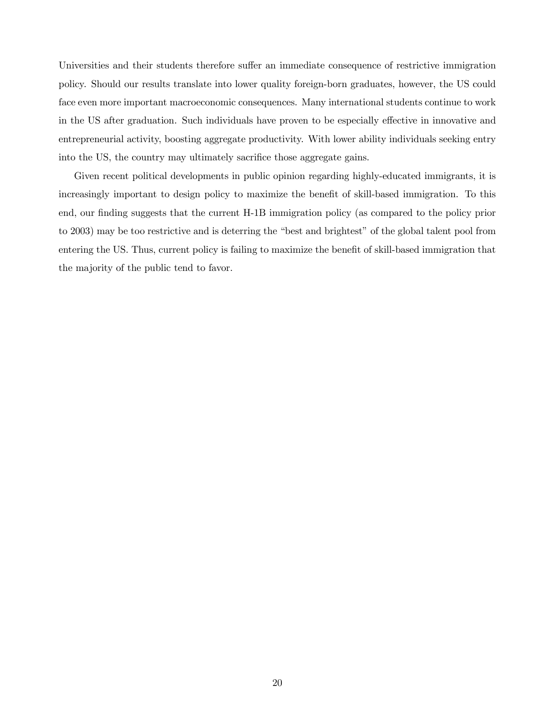Universities and their students therefore suffer an immediate consequence of restrictive immigration policy. Should our results translate into lower quality foreign-born graduates, however, the US could face even more important macroeconomic consequences. Many international students continue to work in the US after graduation. Such individuals have proven to be especially effective in innovative and entrepreneurial activity, boosting aggregate productivity. With lower ability individuals seeking entry into the US, the country may ultimately sacrifice those aggregate gains.

Given recent political developments in public opinion regarding highly-educated immigrants, it is increasingly important to design policy to maximize the benefit of skill-based immigration. To this end, our finding suggests that the current H-1B immigration policy (as compared to the policy prior to 2003) may be too restrictive and is deterring the "best and brightest" of the global talent pool from entering the US. Thus, current policy is failing to maximize the benefit of skill-based immigration that the majority of the public tend to favor.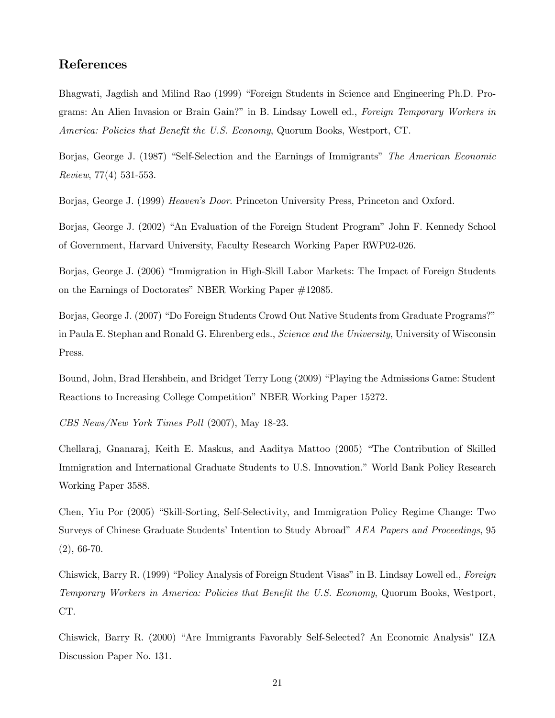### References

Bhagwati, Jagdish and Milind Rao (1999) "Foreign Students in Science and Engineering Ph.D. Programs: An Alien Invasion or Brain Gain?" in B. Lindsay Lowell ed., *Foreign Temporary Workers in America: Policies that Benefit the U.S. Economy*, Quorum Books, Westport, CT.

Borjas, George J. (1987) "Self-Selection and the Earnings of Immigrants" *The American Economic Review*, 77(4) 531-553.

Borjas, George J. (1999) *Heaven's Door*. Princeton University Press, Princeton and Oxford.

Borjas, George J. (2002) "An Evaluation of the Foreign Student Program" John F. Kennedy School of Government, Harvard University, Faculty Research Working Paper RWP02-026.

Borjas, George J. (2006) "Immigration in High-Skill Labor Markets: The Impact of Foreign Students on the Earnings of Doctorates" NBER Working Paper #12085.

Borjas, George J. (2007) "Do Foreign Students Crowd Out Native Students from Graduate Programs?" in Paula E. Stephan and Ronald G. Ehrenberg eds., *Science and the University*, University of Wisconsin Press.

Bound, John, Brad Hershbein, and Bridget Terry Long (2009) "Playing the Admissions Game: Student Reactions to Increasing College Competition" NBER Working Paper 15272.

*CBS News/New York Times Poll* (2007), May 18-23.

Chellaraj, Gnanaraj, Keith E. Maskus, and Aaditya Mattoo (2005) "The Contribution of Skilled Immigration and International Graduate Students to U.S. Innovation." World Bank Policy Research Working Paper 3588.

Chen, Yiu Por (2005) "Skill-Sorting, Self-Selectivity, and Immigration Policy Regime Change: Two Surveys of Chinese Graduate Students' Intention to Study Abroad" *AEA Papers and Proceedings*, 95 (2), 66-70.

Chiswick, Barry R. (1999) "Policy Analysis of Foreign Student Visas" in B. Lindsay Lowell ed., *Foreign Temporary Workers in America: Policies that Benefit the U.S. Economy*, Quorum Books, Westport, CT.

Chiswick, Barry R. (2000) "Are Immigrants Favorably Self-Selected? An Economic Analysis" IZA Discussion Paper No. 131.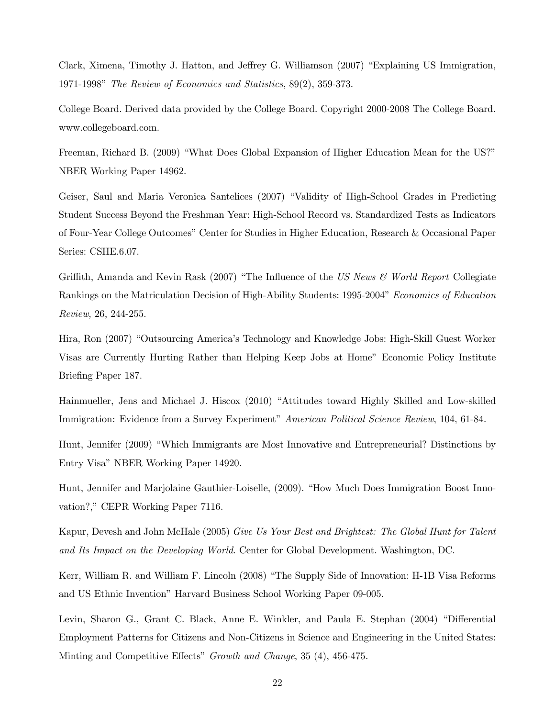Clark, Ximena, Timothy J. Hatton, and Jeffrey G. Williamson (2007) "Explaining US Immigration, 1971-1998" *The Review of Economics and Statistics*, 89(2), 359-373.

College Board. Derived data provided by the College Board. Copyright 2000-2008 The College Board. www.collegeboard.com.

Freeman, Richard B. (2009) "What Does Global Expansion of Higher Education Mean for the US?" NBER Working Paper 14962.

Geiser, Saul and Maria Veronica Santelices (2007) "Validity of High-School Grades in Predicting Student Success Beyond the Freshman Year: High-School Record vs. Standardized Tests as Indicators of Four-Year College Outcomes" Center for Studies in Higher Education, Research & Occasional Paper Series: CSHE.6.07.

Griffith, Amanda and Kevin Rask (2007) "The Influence of the *US News & World Report* Collegiate Rankings on the Matriculation Decision of High-Ability Students: 1995-2004" *Economics of Education Review*, 26, 244-255.

Hira, Ron (2007) "Outsourcing America's Technology and Knowledge Jobs: High-Skill Guest Worker Visas are Currently Hurting Rather than Helping Keep Jobs at Home" Economic Policy Institute Briefing Paper 187.

Hainmueller, Jens and Michael J. Hiscox (2010) "Attitudes toward Highly Skilled and Low-skilled Immigration: Evidence from a Survey Experiment" *American Political Science Review*, 104, 61-84.

Hunt, Jennifer (2009) "Which Immigrants are Most Innovative and Entrepreneurial? Distinctions by Entry Visa" NBER Working Paper 14920.

Hunt, Jennifer and Marjolaine Gauthier-Loiselle, (2009). "How Much Does Immigration Boost Innovation?," CEPR Working Paper 7116.

Kapur, Devesh and John McHale (2005) *Give Us Your Best and Brightest: The Global Hunt for Talent and Its Impact on the Developing World*. Center for Global Development. Washington, DC.

Kerr, William R. and William F. Lincoln (2008) "The Supply Side of Innovation: H-1B Visa Reforms and US Ethnic Invention" Harvard Business School Working Paper 09-005.

Levin, Sharon G., Grant C. Black, Anne E. Winkler, and Paula E. Stephan (2004) "Differential Employment Patterns for Citizens and Non-Citizens in Science and Engineering in the United States: Minting and Competitive Effects" *Growth and Change*, 35 (4), 456-475.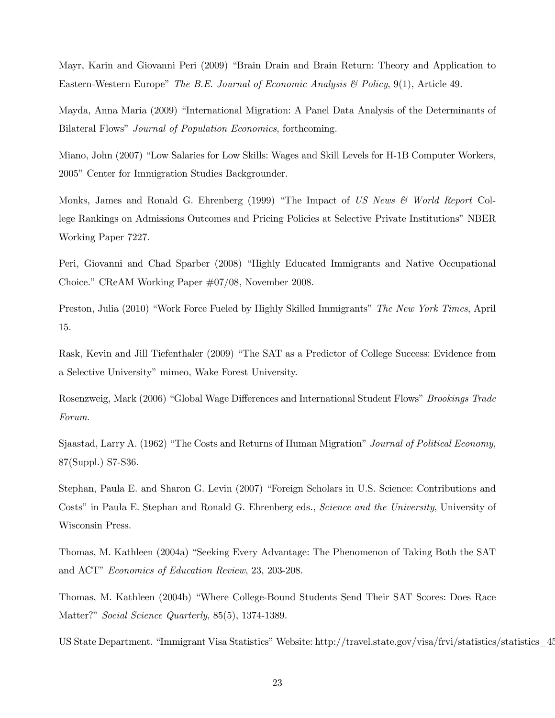Mayr, Karin and Giovanni Peri (2009) "Brain Drain and Brain Return: Theory and Application to Eastern-Western Europe" *The B.E. Journal of Economic Analysis & Policy*, 9(1), Article 49.

Mayda, Anna Maria (2009) "International Migration: A Panel Data Analysis of the Determinants of Bilateral Flows" *Journal of Population Economics*, forthcoming.

Miano, John (2007) "Low Salaries for Low Skills: Wages and Skill Levels for H-1B Computer Workers, 2005" Center for Immigration Studies Backgrounder.

Monks, James and Ronald G. Ehrenberg (1999) "The Impact of *US News & World Report* College Rankings on Admissions Outcomes and Pricing Policies at Selective Private Institutions" NBER Working Paper 7227.

Peri, Giovanni and Chad Sparber (2008) "Highly Educated Immigrants and Native Occupational Choice." CReAM Working Paper #07/08, November 2008.

Preston, Julia (2010) "Work Force Fueled by Highly Skilled Immigrants" *The New York Times*, April 15.

Rask, Kevin and Jill Tiefenthaler (2009) "The SAT as a Predictor of College Success: Evidence from a Selective University" mimeo, Wake Forest University.

Rosenzweig, Mark (2006) "Global Wage Differences and International Student Flows" *Brookings Trade Forum*.

Sjaastad, Larry A. (1962) "The Costs and Returns of Human Migration" *Journal of Political Economy*, 87(Suppl.) S7-S36.

Stephan, Paula E. and Sharon G. Levin (2007) "Foreign Scholars in U.S. Science: Contributions and Costs" in Paula E. Stephan and Ronald G. Ehrenberg eds., *Science and the University*, University of Wisconsin Press.

Thomas, M. Kathleen (2004a) "Seeking Every Advantage: The Phenomenon of Taking Both the SAT and ACT" *Economics of Education Review*, 23, 203-208.

Thomas, M. Kathleen (2004b) "Where College-Bound Students Send Their SAT Scores: Does Race Matter?" *Social Science Quarterly*, 85(5), 1374-1389.

US State Department. "Immigrant Visa Statistics" Website: http://travel.state.gov/visa/frvi/statistics/statistics\_45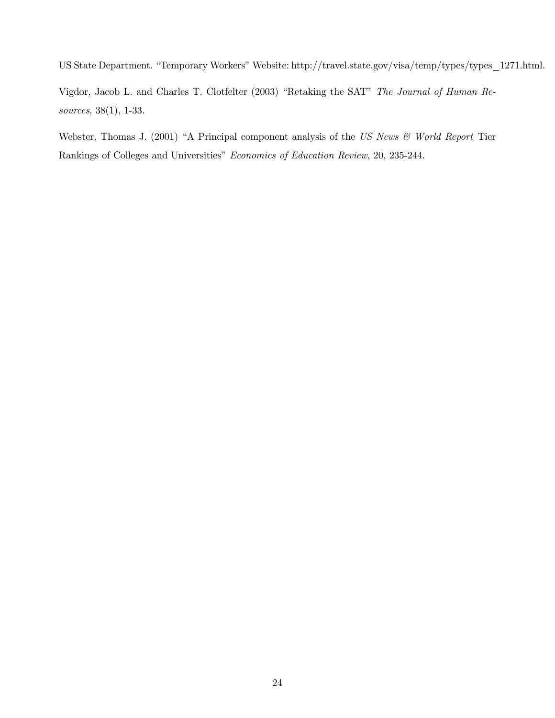US State Department. "Temporary Workers" Website: http://travel.state.gov/visa/temp/types/types\_1271.html.

Vigdor, Jacob L. and Charles T. Clotfelter (2003) "Retaking the SAT" *The Journal of Human Resources*, 38(1), 1-33.

Webster, Thomas J. (2001) "A Principal component analysis of the *US News & World Report* Tier Rankings of Colleges and Universities" *Economics of Education Review*, 20, 235-244.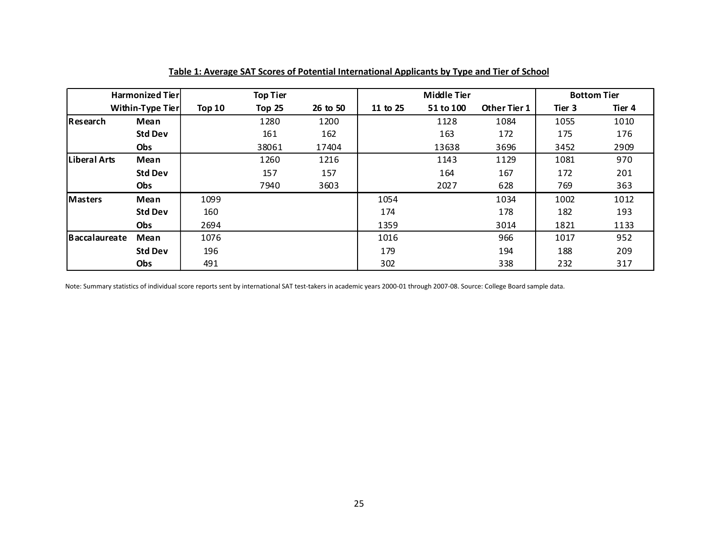|               | <b>Harmonized Tierl</b> |          | <b>Top Tier</b> |          |          | Middle Tier |              |        | <b>Bottom Tier</b> |
|---------------|-------------------------|----------|-----------------|----------|----------|-------------|--------------|--------|--------------------|
|               | Within-Type Tier        | Top $10$ | Top 25          | 26 to 50 | 11 to 25 | 51 to 100   | Other Tier 1 | Tier 3 | Tier 4             |
| Research      | Mean                    |          | 1280            | 1200     |          | 1128        | 1084         | 1055   | 1010               |
|               | <b>Std Dev</b>          |          | 161             | 162      |          | 163         | 172          | 175    | 176                |
|               | Obs                     |          | 38061           | 17404    |          | 13638       | 3696         | 3452   | 2909               |
| Liberal Arts  | Mean                    |          | 1260            | 1216     |          | 1143        | 1129         | 1081   | 970                |
|               | <b>Std Dev</b>          |          | 157             | 157      |          | 164         | 167          | 172    | 201                |
|               | <b>Obs</b>              |          | 7940            | 3603     |          | 2027        | 628          | 769    | 363                |
| Masters       | Mean                    | 1099     |                 |          | 1054     |             | 1034         | 1002   | 1012               |
|               | <b>Std Dev</b>          | 160      |                 |          | 174      |             | 178          | 182    | 193                |
|               | <b>Obs</b>              | 2694     |                 |          | 1359     |             | 3014         | 1821   | 1133               |
| Baccalaureate | Mean                    | 1076     |                 |          | 1016     |             | 966          | 1017   | 952                |
|               | <b>Std Dev</b>          | 196      |                 |          | 179      |             | 194          | 188    | 209                |
|               | Obs                     | 491      |                 |          | 302      |             | 338          | 232    | 317                |

**Table 1: Average SAT Scores of Potential International Applicants by Type and Tier of School**

Note: Summary statistics of individual score reports sent by international SAT test-takers in academic years 2000-01 through 2007-08. Source: College Board sample data.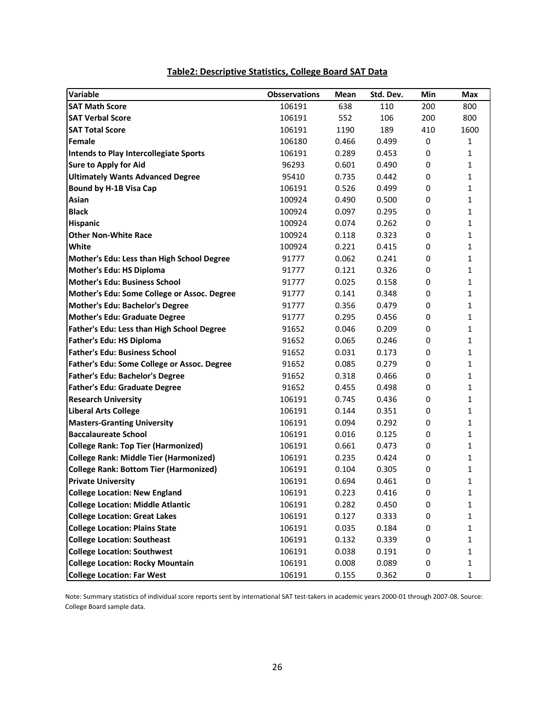| Variable                                      | <b>Obsservations</b> | Mean  | Std. Dev. | Min       | <b>Max</b>   |
|-----------------------------------------------|----------------------|-------|-----------|-----------|--------------|
| <b>SAT Math Score</b>                         | 106191               | 638   | 110       | 200       | 800          |
| <b>SAT Verbal Score</b>                       | 106191               | 552   | 106       | 200       | 800          |
| <b>SAT Total Score</b>                        | 106191               | 1190  | 189       | 410       | 1600         |
| Female                                        | 106180               | 0.466 | 0.499     | 0         | $\mathbf{1}$ |
| Intends to Play Intercollegiate Sports        | 106191               | 0.289 | 0.453     | 0         | 1            |
| <b>Sure to Apply for Aid</b>                  | 96293                | 0.601 | 0.490     | 0         | $\mathbf{1}$ |
| <b>Ultimately Wants Advanced Degree</b>       | 95410                | 0.735 | 0.442     | 0         | $\mathbf{1}$ |
| <b>Bound by H-1B Visa Cap</b>                 | 106191               | 0.526 | 0.499     | 0         | 1            |
| Asian                                         | 100924               | 0.490 | 0.500     | 0         | $\mathbf{1}$ |
| <b>Black</b>                                  | 100924               | 0.097 | 0.295     | 0         | $\mathbf{1}$ |
| Hispanic                                      | 100924               | 0.074 | 0.262     | 0         | $\mathbf{1}$ |
| <b>Other Non-White Race</b>                   | 100924               | 0.118 | 0.323     | 0         | 1            |
| White                                         | 100924               | 0.221 | 0.415     | 0         | $\mathbf{1}$ |
| Mother's Edu: Less than High School Degree    | 91777                | 0.062 | 0.241     | 0         | $\mathbf{1}$ |
| Mother's Edu: HS Diploma                      | 91777                | 0.121 | 0.326     | 0         | $\mathbf{1}$ |
| <b>Mother's Edu: Business School</b>          | 91777                | 0.025 | 0.158     | 0         | 1            |
| Mother's Edu: Some College or Assoc. Degree   | 91777                | 0.141 | 0.348     | 0         | $\mathbf{1}$ |
| Mother's Edu: Bachelor's Degree               | 91777                | 0.356 | 0.479     | 0         | 1            |
| Mother's Edu: Graduate Degree                 | 91777                | 0.295 | 0.456     | 0         | $\mathbf{1}$ |
| Father's Edu: Less than High School Degree    | 91652                | 0.046 | 0.209     | 0         | $\mathbf{1}$ |
| <b>Father's Edu: HS Diploma</b>               | 91652                | 0.065 | 0.246     | 0         | 1            |
| <b>Father's Edu: Business School</b>          | 91652                | 0.031 | 0.173     | 0         | $\mathbf{1}$ |
| Father's Edu: Some College or Assoc. Degree   | 91652                | 0.085 | 0.279     | 0         | $\mathbf{1}$ |
| <b>Father's Edu: Bachelor's Degree</b>        | 91652                | 0.318 | 0.466     | 0         | $\mathbf{1}$ |
| <b>Father's Edu: Graduate Degree</b>          | 91652                | 0.455 | 0.498     | 0         | 1            |
| <b>Research University</b>                    | 106191               | 0.745 | 0.436     | 0         | 1            |
| <b>Liberal Arts College</b>                   | 106191               | 0.144 | 0.351     | 0         | $\mathbf{1}$ |
| <b>Masters-Granting University</b>            | 106191               | 0.094 | 0.292     | 0         | $\mathbf{1}$ |
| <b>Baccalaureate School</b>                   | 106191               | 0.016 | 0.125     | 0         | $\mathbf{1}$ |
| <b>College Rank: Top Tier (Harmonized)</b>    | 106191               | 0.661 | 0.473     | 0         | $\mathbf{1}$ |
| <b>College Rank: Middle Tier (Harmonized)</b> | 106191               | 0.235 | 0.424     | 0         | 1            |
| <b>College Rank: Bottom Tier (Harmonized)</b> | 106191               | 0.104 | 0.305     | 0         | 1            |
| <b>Private University</b>                     | 106191               | 0.694 | 0.461     | 0         | 1            |
| <b>College Location: New England</b>          | 106191               | 0.223 | 0.416     | 0         | 1            |
| <b>College Location: Middle Atlantic</b>      | 106191               | 0.282 | 0.450     | 0         | 1            |
| <b>College Location: Great Lakes</b>          | 106191               | 0.127 | 0.333     | 0         | $\mathbf{1}$ |
| <b>College Location: Plains State</b>         | 106191               | 0.035 | 0.184     | 0         | $\mathbf{1}$ |
| <b>College Location: Southeast</b>            | 106191               | 0.132 | 0.339     | 0         | 1            |
| <b>College Location: Southwest</b>            | 106191               | 0.038 | 0.191     | 0         | 1            |
| <b>College Location: Rocky Mountain</b>       | 106191               | 0.008 | 0.089     | 0         | 1            |
| <b>College Location: Far West</b>             | 106191               | 0.155 | 0.362     | $\pmb{0}$ | 1            |

# **Table2: Descriptive Statistics, College Board SAT Data**

Note: Summary statistics of individual score reports sent by international SAT test-takers in academic years 2000-01 through 2007-08. Source: College Board sample data.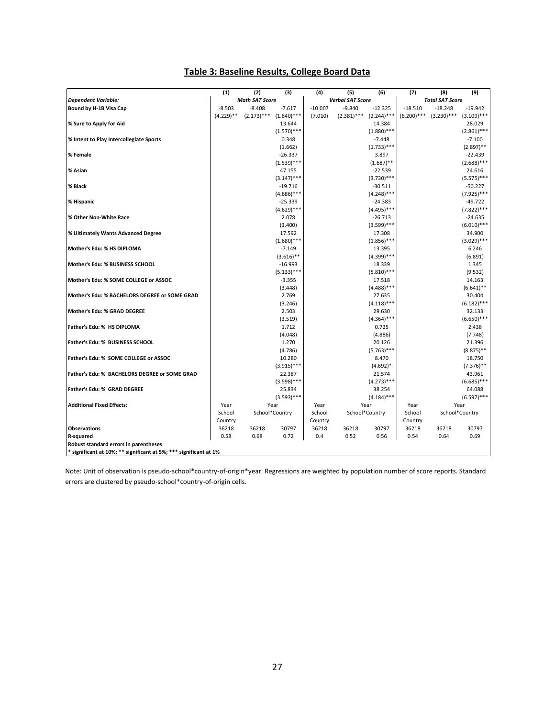|                                                                   | (1)          | (2)                   | (3)                    | (4)       | (5)                     | (6)                        | (7)           | (8)                    | (9)                        |
|-------------------------------------------------------------------|--------------|-----------------------|------------------------|-----------|-------------------------|----------------------------|---------------|------------------------|----------------------------|
| <b>Dependent Variable:</b>                                        |              | <b>Math SAT Score</b> |                        |           | <b>Verbal SAT Score</b> |                            |               | <b>Total SAT Score</b> |                            |
| Bound by H-1B Visa Cap                                            | $-8.503$     | $-8.408$              | $-7.617$               | $-10.007$ | $-9.840$                | $-12.325$                  | $-18.510$     | $-18.248$              | $-19.942$                  |
|                                                                   | $(4.229)$ ** | $(2.173)$ ***         | $(1.840)$ ***          | (7.010)   | $(2.381)***$            | $(2.244)$ ***              | $(6.200)$ *** | $(3.230)$ ***          | $(3.109)$ ***              |
| % Sure to Apply for Aid                                           |              |                       | 13.644                 |           |                         | 14.384                     |               |                        | 28.029                     |
|                                                                   |              |                       | $(1.570)$ ***          |           |                         | $(1.880)$ ***              |               |                        | $(2.861)$ ***              |
| % Intent to Play Intercollegiate Sports                           |              |                       | 0.348                  |           |                         | $-7.448$                   |               |                        | $-7.100$                   |
|                                                                   |              |                       | (1.662)                |           |                         | $(1.733)$ ***              |               |                        | $(2.897)$ **               |
| % Female                                                          |              |                       | $-26.337$              |           |                         | 3.897                      |               |                        | $-22.439$                  |
|                                                                   |              |                       | $(1.539)$ ***          |           |                         | $(1.687)$ **               |               |                        | $(2.688)$ ***              |
| % Asian                                                           |              |                       | 47.155                 |           |                         | $-22.539$                  |               |                        | 24.616                     |
|                                                                   |              |                       | $(3.147)$ ***          |           |                         | $(3.730)$ ***              |               |                        | $(5.575)$ ***              |
| % Black                                                           |              |                       | $-19.716$              |           |                         | $-30.511$                  |               |                        | $-50.227$                  |
|                                                                   |              |                       | $(4.686)$ ***          |           |                         | $(4.248)$ ***              |               |                        | $(7.925)$ ***              |
| % Hispanic                                                        |              |                       | $-25.339$              |           |                         | $-24.383$                  |               |                        | $-49.722$                  |
|                                                                   |              |                       | $(4.629)$ ***          |           |                         | $(4.495)$ ***              |               |                        | $(7.822)$ ***              |
| % Other Non-White Race                                            |              |                       | 2.078<br>(3.400)       |           |                         | $-26.713$<br>$(3.599)$ *** |               |                        | $-24.635$<br>$(6.010)$ *** |
| % Ultimately Wants Advanced Degree                                |              |                       | 17.592                 |           |                         | 17.308                     |               |                        | 34.900                     |
|                                                                   |              |                       | $(1.680)$ ***          |           |                         | $(1.856)$ ***              |               |                        | $(3.029)$ ***              |
| Mother's Edu: % HS DIPLOMA                                        |              |                       | $-7.149$               |           |                         | 13.395                     |               |                        | 6.246                      |
|                                                                   |              |                       | $(3.616)$ **           |           |                         | $(4.399)$ ***              |               |                        | (6.891)                    |
| Mother's Edu: % BUSINESS SCHOOL                                   |              |                       | $-16.993$              |           |                         | 18.339                     |               |                        | 1.345                      |
|                                                                   |              |                       | $(5.133)***$           |           |                         | $(5.810)$ ***              |               |                        | (9.532)                    |
| Mother's Edu: % SOME COLLEGE or ASSOC                             |              |                       | $-3.355$               |           |                         | 17.518                     |               |                        | 14.163                     |
|                                                                   |              |                       | (3.448)                |           |                         | $(4.488)$ ***              |               |                        | $(6.641)$ **               |
| Mother's Edu: % BACHELORS DEGREE or SOME GRAD                     |              |                       | 2.769                  |           |                         | 27.635                     |               |                        | 30.404                     |
|                                                                   |              |                       | (3.246)                |           |                         | $(4.118)$ ***              |               |                        | $(6.182)$ ***              |
| <b>Mother's Edu: % GRAD DEGREE</b>                                |              |                       | 2.503                  |           |                         | 29.630                     |               |                        | 32.133                     |
|                                                                   |              |                       | (3.519)                |           |                         | $(4.364)$ ***              |               |                        | $(6.650)$ ***              |
| Father's Edu: % HS DIPLOMA                                        |              |                       | 1.712                  |           |                         | 0.725                      |               |                        | 2.438                      |
|                                                                   |              |                       | (4.048)                |           |                         | (4.886)                    |               |                        | (7.748)                    |
| Father's Edu: % BUSINESS SCHOOL                                   |              |                       | 1.270                  |           |                         | 20.126                     |               |                        | 21.396                     |
|                                                                   |              |                       | (4.786)                |           |                         | $(5.763)$ ***              |               |                        | $(8.875)$ **               |
| Father's Edu: % SOME COLLEGE or ASSOC                             |              |                       | 10.280                 |           |                         | 8.470                      |               |                        | 18.750                     |
| Father's Edu: % BACHELORS DEGREE or SOME GRAD                     |              |                       | $(3.915)***$<br>22.387 |           |                         | $(4.692)*$                 |               |                        | $(7.376)$ **<br>43.961     |
|                                                                   |              |                       | $(3.598)$ ***          |           |                         | 21.574<br>$(4.273)$ ***    |               |                        | $(6.685)$ ***              |
| Father's Edu: % GRAD DEGREE                                       |              |                       | 25.834                 |           |                         | 38.254                     |               |                        | 64.088                     |
|                                                                   |              |                       | $(3.593)$ ***          |           |                         | $(4.184)$ ***              |               |                        | $(6.597)$ ***              |
| <b>Additional Fixed Effects:</b>                                  | Year         |                       | Year                   | Year      |                         | Year                       | Year          |                        | Year                       |
|                                                                   | School       |                       | School*Country         | School    |                         | School*Country             | School        |                        | School*Country             |
|                                                                   | Country      |                       |                        | Country   |                         |                            | Country       |                        |                            |
| <b>Observations</b>                                               | 36218        | 36218                 | 30797                  | 36218     | 36218                   | 30797                      | 36218         | 36218                  | 30797                      |
| R-squared                                                         | 0.58         | 0.68                  | 0.72                   | 0.4       | 0.52                    | 0.56                       | 0.54          | 0.64                   | 0.69                       |
| Robust standard errors in parentheses                             |              |                       |                        |           |                         |                            |               |                        |                            |
| * significant at 10%; ** significant at 5%; *** significant at 1% |              |                       |                        |           |                         |                            |               |                        |                            |

# **Table 3: Baseline Results, College Board Data**

Note: Unit of observation is pseudo-school\*country-of-origin\*year. Regressions are weighted by population number of score reports. Standard errors are clustered by pseudo-school\*country-of-origin cells.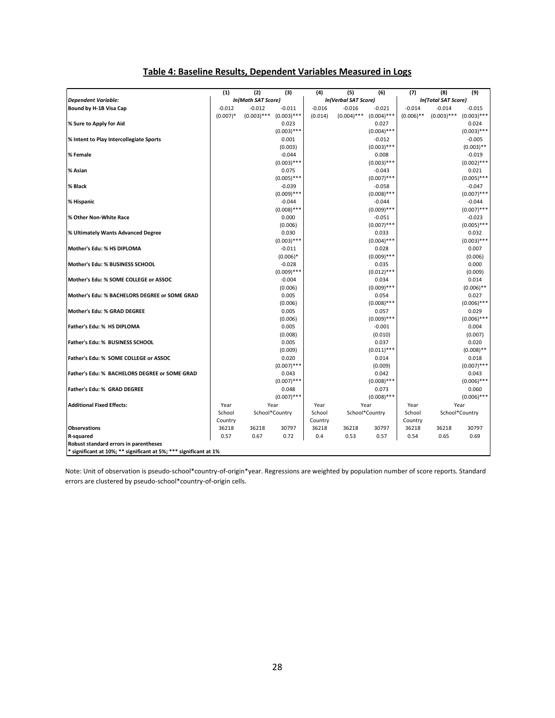| (1)<br>(2)<br>(3)<br>(4)<br>(5)<br>(6)<br>(7)<br>(8)<br>(9)<br>In(Math SAT Score)<br>In(Verbal SAT Score)<br>In(Total SAT Score)<br><b>Dependent Variable:</b><br>$-0.012$<br>$-0.016$<br>$-0.012$<br>$-0.011$<br>$-0.016$<br>$-0.021$<br>$-0.014$<br>$-0.014$<br>$-0.015$<br>Bound by H-1B Visa Cap<br>$(0.006)$ **<br>$(0.007)*$<br>$(0.003)$ ***<br>$(0.003)$ ***<br>(0.014)<br>$(0.004)$ ***<br>$(0.004)$ ***<br>$(0.003)$ ***<br>$(0.003)$ ***<br>0.023<br>0.027<br>0.024<br>% Sure to Apply for Aid<br>$(0.003)$ ***<br>$(0.004)$ ***<br>$(0.003)$ ***<br>% Intent to Play Intercollegiate Sports<br>0.001<br>$-0.012$<br>$-0.005$<br>$(0.003)$ **<br>(0.003)<br>$(0.003)$ ***<br>$-0.044$<br>% Female<br>0.008<br>$-0.019$<br>$(0.003)$ ***<br>$(0.003)$ ***<br>$(0.002)$ ***<br>% Asian<br>0.075<br>$-0.043$<br>0.021<br>$(0.005)$ ***<br>$(0.005)$ ***<br>$(0.007)$ ***<br>$-0.039$<br>% Black<br>$-0.058$<br>$-0.047$<br>$(0.009)$ ***<br>$(0.007)$ ***<br>$(0.008)$ ***<br>$-0.044$<br>% Hispanic<br>$-0.044$<br>$-0.044$<br>$(0.007)$ ***<br>$(0.008)$ ***<br>$(0.009)$ ***<br>% Other Non-White Race<br>0.000<br>$-0.051$<br>$-0.023$<br>$(0.005)$ ***<br>(0.006)<br>$(0.007)$ ***<br>0.030<br>0.033<br>0.032<br>% Ultimately Wants Advanced Degree<br>$(0.003)$ ***<br>$(0.003)$ ***<br>$(0.004)$ ***<br>Mother's Edu: % HS DIPLOMA<br>$-0.011$<br>0.028<br>0.007<br>$(0.006)*$<br>$(0.009)$ ***<br>(0.006)<br>$-0.028$<br>0.000<br>Mother's Edu: % BUSINESS SCHOOL<br>0.035<br>$(0.009)$ ***<br>$(0.012)$ ***<br>(0.009)<br>$-0.004$<br>0.014<br>Mother's Edu: % SOME COLLEGE or ASSOC<br>0.034<br>(0.006)<br>$(0.009)$ ***<br>$(0.006)$ **<br>0.005<br>Mother's Edu: % BACHELORS DEGREE or SOME GRAD<br>0.054<br>0.027<br>(0.006)<br>$(0.008)$ ***<br>$(0.006)$ *** |
|-------------------------------------------------------------------------------------------------------------------------------------------------------------------------------------------------------------------------------------------------------------------------------------------------------------------------------------------------------------------------------------------------------------------------------------------------------------------------------------------------------------------------------------------------------------------------------------------------------------------------------------------------------------------------------------------------------------------------------------------------------------------------------------------------------------------------------------------------------------------------------------------------------------------------------------------------------------------------------------------------------------------------------------------------------------------------------------------------------------------------------------------------------------------------------------------------------------------------------------------------------------------------------------------------------------------------------------------------------------------------------------------------------------------------------------------------------------------------------------------------------------------------------------------------------------------------------------------------------------------------------------------------------------------------------------------------------------------------------------------------------------------------------------|
|                                                                                                                                                                                                                                                                                                                                                                                                                                                                                                                                                                                                                                                                                                                                                                                                                                                                                                                                                                                                                                                                                                                                                                                                                                                                                                                                                                                                                                                                                                                                                                                                                                                                                                                                                                                     |
|                                                                                                                                                                                                                                                                                                                                                                                                                                                                                                                                                                                                                                                                                                                                                                                                                                                                                                                                                                                                                                                                                                                                                                                                                                                                                                                                                                                                                                                                                                                                                                                                                                                                                                                                                                                     |
|                                                                                                                                                                                                                                                                                                                                                                                                                                                                                                                                                                                                                                                                                                                                                                                                                                                                                                                                                                                                                                                                                                                                                                                                                                                                                                                                                                                                                                                                                                                                                                                                                                                                                                                                                                                     |
|                                                                                                                                                                                                                                                                                                                                                                                                                                                                                                                                                                                                                                                                                                                                                                                                                                                                                                                                                                                                                                                                                                                                                                                                                                                                                                                                                                                                                                                                                                                                                                                                                                                                                                                                                                                     |
|                                                                                                                                                                                                                                                                                                                                                                                                                                                                                                                                                                                                                                                                                                                                                                                                                                                                                                                                                                                                                                                                                                                                                                                                                                                                                                                                                                                                                                                                                                                                                                                                                                                                                                                                                                                     |
|                                                                                                                                                                                                                                                                                                                                                                                                                                                                                                                                                                                                                                                                                                                                                                                                                                                                                                                                                                                                                                                                                                                                                                                                                                                                                                                                                                                                                                                                                                                                                                                                                                                                                                                                                                                     |
|                                                                                                                                                                                                                                                                                                                                                                                                                                                                                                                                                                                                                                                                                                                                                                                                                                                                                                                                                                                                                                                                                                                                                                                                                                                                                                                                                                                                                                                                                                                                                                                                                                                                                                                                                                                     |
|                                                                                                                                                                                                                                                                                                                                                                                                                                                                                                                                                                                                                                                                                                                                                                                                                                                                                                                                                                                                                                                                                                                                                                                                                                                                                                                                                                                                                                                                                                                                                                                                                                                                                                                                                                                     |
|                                                                                                                                                                                                                                                                                                                                                                                                                                                                                                                                                                                                                                                                                                                                                                                                                                                                                                                                                                                                                                                                                                                                                                                                                                                                                                                                                                                                                                                                                                                                                                                                                                                                                                                                                                                     |
|                                                                                                                                                                                                                                                                                                                                                                                                                                                                                                                                                                                                                                                                                                                                                                                                                                                                                                                                                                                                                                                                                                                                                                                                                                                                                                                                                                                                                                                                                                                                                                                                                                                                                                                                                                                     |
|                                                                                                                                                                                                                                                                                                                                                                                                                                                                                                                                                                                                                                                                                                                                                                                                                                                                                                                                                                                                                                                                                                                                                                                                                                                                                                                                                                                                                                                                                                                                                                                                                                                                                                                                                                                     |
|                                                                                                                                                                                                                                                                                                                                                                                                                                                                                                                                                                                                                                                                                                                                                                                                                                                                                                                                                                                                                                                                                                                                                                                                                                                                                                                                                                                                                                                                                                                                                                                                                                                                                                                                                                                     |
|                                                                                                                                                                                                                                                                                                                                                                                                                                                                                                                                                                                                                                                                                                                                                                                                                                                                                                                                                                                                                                                                                                                                                                                                                                                                                                                                                                                                                                                                                                                                                                                                                                                                                                                                                                                     |
|                                                                                                                                                                                                                                                                                                                                                                                                                                                                                                                                                                                                                                                                                                                                                                                                                                                                                                                                                                                                                                                                                                                                                                                                                                                                                                                                                                                                                                                                                                                                                                                                                                                                                                                                                                                     |
|                                                                                                                                                                                                                                                                                                                                                                                                                                                                                                                                                                                                                                                                                                                                                                                                                                                                                                                                                                                                                                                                                                                                                                                                                                                                                                                                                                                                                                                                                                                                                                                                                                                                                                                                                                                     |
|                                                                                                                                                                                                                                                                                                                                                                                                                                                                                                                                                                                                                                                                                                                                                                                                                                                                                                                                                                                                                                                                                                                                                                                                                                                                                                                                                                                                                                                                                                                                                                                                                                                                                                                                                                                     |
|                                                                                                                                                                                                                                                                                                                                                                                                                                                                                                                                                                                                                                                                                                                                                                                                                                                                                                                                                                                                                                                                                                                                                                                                                                                                                                                                                                                                                                                                                                                                                                                                                                                                                                                                                                                     |
|                                                                                                                                                                                                                                                                                                                                                                                                                                                                                                                                                                                                                                                                                                                                                                                                                                                                                                                                                                                                                                                                                                                                                                                                                                                                                                                                                                                                                                                                                                                                                                                                                                                                                                                                                                                     |
|                                                                                                                                                                                                                                                                                                                                                                                                                                                                                                                                                                                                                                                                                                                                                                                                                                                                                                                                                                                                                                                                                                                                                                                                                                                                                                                                                                                                                                                                                                                                                                                                                                                                                                                                                                                     |
|                                                                                                                                                                                                                                                                                                                                                                                                                                                                                                                                                                                                                                                                                                                                                                                                                                                                                                                                                                                                                                                                                                                                                                                                                                                                                                                                                                                                                                                                                                                                                                                                                                                                                                                                                                                     |
|                                                                                                                                                                                                                                                                                                                                                                                                                                                                                                                                                                                                                                                                                                                                                                                                                                                                                                                                                                                                                                                                                                                                                                                                                                                                                                                                                                                                                                                                                                                                                                                                                                                                                                                                                                                     |
|                                                                                                                                                                                                                                                                                                                                                                                                                                                                                                                                                                                                                                                                                                                                                                                                                                                                                                                                                                                                                                                                                                                                                                                                                                                                                                                                                                                                                                                                                                                                                                                                                                                                                                                                                                                     |
|                                                                                                                                                                                                                                                                                                                                                                                                                                                                                                                                                                                                                                                                                                                                                                                                                                                                                                                                                                                                                                                                                                                                                                                                                                                                                                                                                                                                                                                                                                                                                                                                                                                                                                                                                                                     |
|                                                                                                                                                                                                                                                                                                                                                                                                                                                                                                                                                                                                                                                                                                                                                                                                                                                                                                                                                                                                                                                                                                                                                                                                                                                                                                                                                                                                                                                                                                                                                                                                                                                                                                                                                                                     |
|                                                                                                                                                                                                                                                                                                                                                                                                                                                                                                                                                                                                                                                                                                                                                                                                                                                                                                                                                                                                                                                                                                                                                                                                                                                                                                                                                                                                                                                                                                                                                                                                                                                                                                                                                                                     |
|                                                                                                                                                                                                                                                                                                                                                                                                                                                                                                                                                                                                                                                                                                                                                                                                                                                                                                                                                                                                                                                                                                                                                                                                                                                                                                                                                                                                                                                                                                                                                                                                                                                                                                                                                                                     |
| 0.005<br>Mother's Edu: % GRAD DEGREE<br>0.057<br>0.029                                                                                                                                                                                                                                                                                                                                                                                                                                                                                                                                                                                                                                                                                                                                                                                                                                                                                                                                                                                                                                                                                                                                                                                                                                                                                                                                                                                                                                                                                                                                                                                                                                                                                                                              |
| $(0.009)$ ***<br>$(0.006)$ ***<br>(0.006)                                                                                                                                                                                                                                                                                                                                                                                                                                                                                                                                                                                                                                                                                                                                                                                                                                                                                                                                                                                                                                                                                                                                                                                                                                                                                                                                                                                                                                                                                                                                                                                                                                                                                                                                           |
| 0.005<br>$-0.001$<br>0.004<br>Father's Edu: % HS DIPLOMA                                                                                                                                                                                                                                                                                                                                                                                                                                                                                                                                                                                                                                                                                                                                                                                                                                                                                                                                                                                                                                                                                                                                                                                                                                                                                                                                                                                                                                                                                                                                                                                                                                                                                                                            |
| (0.008)<br>(0.010)<br>(0.007)                                                                                                                                                                                                                                                                                                                                                                                                                                                                                                                                                                                                                                                                                                                                                                                                                                                                                                                                                                                                                                                                                                                                                                                                                                                                                                                                                                                                                                                                                                                                                                                                                                                                                                                                                       |
| 0.005<br>0.037<br>Father's Edu: % BUSINESS SCHOOL<br>0.020                                                                                                                                                                                                                                                                                                                                                                                                                                                                                                                                                                                                                                                                                                                                                                                                                                                                                                                                                                                                                                                                                                                                                                                                                                                                                                                                                                                                                                                                                                                                                                                                                                                                                                                          |
| $(0.011)$ ***<br>$(0.008)$ **<br>(0.009)                                                                                                                                                                                                                                                                                                                                                                                                                                                                                                                                                                                                                                                                                                                                                                                                                                                                                                                                                                                                                                                                                                                                                                                                                                                                                                                                                                                                                                                                                                                                                                                                                                                                                                                                            |
| Father's Edu: % SOME COLLEGE or ASSOC<br>0.020<br>0.014<br>0.018                                                                                                                                                                                                                                                                                                                                                                                                                                                                                                                                                                                                                                                                                                                                                                                                                                                                                                                                                                                                                                                                                                                                                                                                                                                                                                                                                                                                                                                                                                                                                                                                                                                                                                                    |
| $(0.007)$ ***<br>$(0.007)$ ***<br>(0.009)                                                                                                                                                                                                                                                                                                                                                                                                                                                                                                                                                                                                                                                                                                                                                                                                                                                                                                                                                                                                                                                                                                                                                                                                                                                                                                                                                                                                                                                                                                                                                                                                                                                                                                                                           |
| 0.042<br>Father's Edu: % BACHELORS DEGREE or SOME GRAD<br>0.043<br>0.043                                                                                                                                                                                                                                                                                                                                                                                                                                                                                                                                                                                                                                                                                                                                                                                                                                                                                                                                                                                                                                                                                                                                                                                                                                                                                                                                                                                                                                                                                                                                                                                                                                                                                                            |
| $(0.007)$ ***<br>$(0.006)$ ***<br>$(0.008)$ ***                                                                                                                                                                                                                                                                                                                                                                                                                                                                                                                                                                                                                                                                                                                                                                                                                                                                                                                                                                                                                                                                                                                                                                                                                                                                                                                                                                                                                                                                                                                                                                                                                                                                                                                                     |
| Father's Edu: % GRAD DEGREE<br>0.048<br>0.073<br>0.060                                                                                                                                                                                                                                                                                                                                                                                                                                                                                                                                                                                                                                                                                                                                                                                                                                                                                                                                                                                                                                                                                                                                                                                                                                                                                                                                                                                                                                                                                                                                                                                                                                                                                                                              |
| $(0.007)$ ***<br>$(0.008)$ ***<br>$(0.006)$ ***                                                                                                                                                                                                                                                                                                                                                                                                                                                                                                                                                                                                                                                                                                                                                                                                                                                                                                                                                                                                                                                                                                                                                                                                                                                                                                                                                                                                                                                                                                                                                                                                                                                                                                                                     |
| <b>Additional Fixed Effects:</b><br>Year<br>Year<br>Year<br>Year<br>Year<br>Year                                                                                                                                                                                                                                                                                                                                                                                                                                                                                                                                                                                                                                                                                                                                                                                                                                                                                                                                                                                                                                                                                                                                                                                                                                                                                                                                                                                                                                                                                                                                                                                                                                                                                                    |
| School<br>School*Country<br>School*Country<br>School*Country<br>School<br>School                                                                                                                                                                                                                                                                                                                                                                                                                                                                                                                                                                                                                                                                                                                                                                                                                                                                                                                                                                                                                                                                                                                                                                                                                                                                                                                                                                                                                                                                                                                                                                                                                                                                                                    |
| Country<br>Country<br>Country                                                                                                                                                                                                                                                                                                                                                                                                                                                                                                                                                                                                                                                                                                                                                                                                                                                                                                                                                                                                                                                                                                                                                                                                                                                                                                                                                                                                                                                                                                                                                                                                                                                                                                                                                       |
| <b>Observations</b><br>36218<br>36218<br>30797<br>36218<br>36218<br>30797<br>36218<br>36218<br>30797<br>0.57<br>0.67<br>0.72<br>0.4<br>0.53<br>0.57<br>0.65<br>0.69<br>R-squared<br>0.54                                                                                                                                                                                                                                                                                                                                                                                                                                                                                                                                                                                                                                                                                                                                                                                                                                                                                                                                                                                                                                                                                                                                                                                                                                                                                                                                                                                                                                                                                                                                                                                            |
| Robust standard errors in parentheses                                                                                                                                                                                                                                                                                                                                                                                                                                                                                                                                                                                                                                                                                                                                                                                                                                                                                                                                                                                                                                                                                                                                                                                                                                                                                                                                                                                                                                                                                                                                                                                                                                                                                                                                               |
| * significant at 10%; ** significant at 5%; *** significant at 1%                                                                                                                                                                                                                                                                                                                                                                                                                                                                                                                                                                                                                                                                                                                                                                                                                                                                                                                                                                                                                                                                                                                                                                                                                                                                                                                                                                                                                                                                                                                                                                                                                                                                                                                   |

### **Table 4: Baseline Results, Dependent Variables Measured in Logs**

Note: Unit of observation is pseudo-school\*country-of-origin\*year. Regressions are weighted by population number of score reports. Standard errors are clustered by pseudo-school\*country-of-origin cells.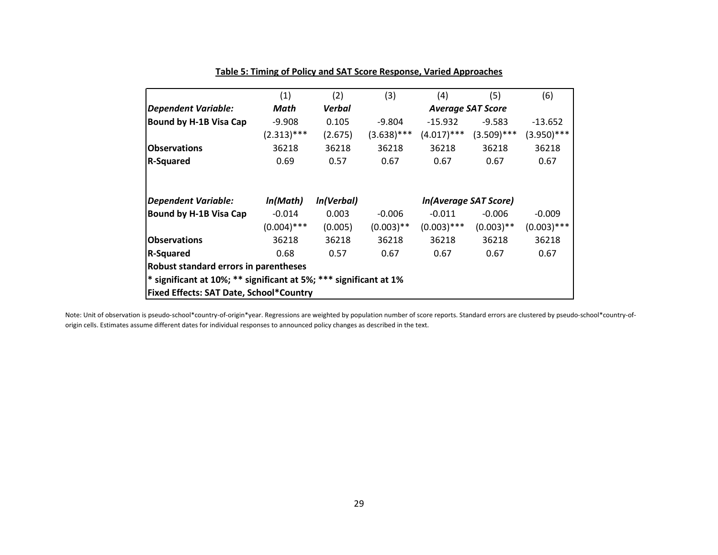|                                                                     | (1)           | (2)        | (3)           | (4)                      | (5)           | (6)           |  |  |
|---------------------------------------------------------------------|---------------|------------|---------------|--------------------------|---------------|---------------|--|--|
| Dependent Variable:                                                 | Math          | Verbal     |               | <b>Average SAT Score</b> |               |               |  |  |
| Bound by H-1B Visa Cap                                              | $-9.908$      | 0.105      | $-9.804$      | $-15.932$                | $-9.583$      | $-13.652$     |  |  |
|                                                                     | $(2.313)***$  | (2.675)    | $(3.638)$ *** | $(4.017)$ ***            | $(3.509)$ *** | $(3.950)$ *** |  |  |
| <b>Observations</b>                                                 | 36218         | 36218      | 36218         | 36218                    | 36218         | 36218         |  |  |
| <b>R-Squared</b>                                                    | 0.69          | 0.57       | 0.67          | 0.67                     | 0.67          | 0.67          |  |  |
|                                                                     |               |            |               |                          |               |               |  |  |
| Dependent Variable:                                                 | In(Math)      | In(Verbal) |               | In(Average SAT Score)    |               |               |  |  |
| Bound by H-1B Visa Cap                                              | $-0.014$      | 0.003      | $-0.006$      | $-0.011$                 | $-0.006$      | $-0.009$      |  |  |
|                                                                     | $(0.004)$ *** | (0.005)    | $(0.003)$ **  | $(0.003)$ ***            | $(0.003)$ **  | $(0.003)$ *** |  |  |
| <b>Observations</b>                                                 | 36218         | 36218      | 36218         | 36218                    | 36218         | 36218         |  |  |
| <b>R-Squared</b>                                                    | 0.68          | 0.57       | 0.67          | 0.67                     | 0.67          | 0.67          |  |  |
| Robust standard errors in parentheses                               |               |            |               |                          |               |               |  |  |
| $*$ significant at 10%; ** significant at 5%; *** significant at 1% |               |            |               |                          |               |               |  |  |
| <b>Fixed Effects: SAT Date, School*Country</b>                      |               |            |               |                          |               |               |  |  |

### **Table 5: Timing of Policy and SAT Score Response, Varied Approaches**

Note: Unit of observation is pseudo-school\*country-of-origin\*year. Regressions are weighted by population number of score reports. Standard errors are clustered by pseudo-school\*country-oforigin cells. Estimates assume different dates for individual responses to announced policy changes as described in the text.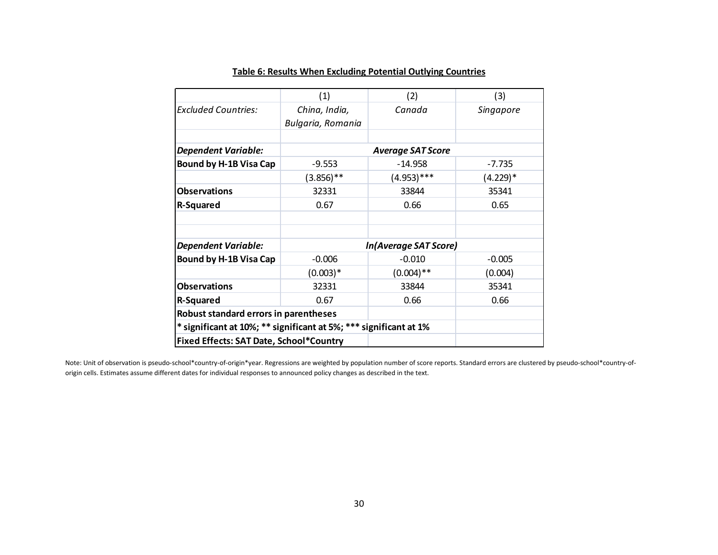|                                                                   | (1)                                | (2)                   | (3)              |  |  |  |  |  |
|-------------------------------------------------------------------|------------------------------------|-----------------------|------------------|--|--|--|--|--|
| <b>Excluded Countries:</b>                                        | China, India,<br>Bulgaria, Romania | Canada                | <b>Singapore</b> |  |  |  |  |  |
|                                                                   |                                    |                       |                  |  |  |  |  |  |
| <b>Dependent Variable:</b>                                        | <b>Average SAT Score</b>           |                       |                  |  |  |  |  |  |
| <b>Bound by H-1B Visa Cap</b>                                     | $-9.553$                           | $-14.958$             | $-7.735$         |  |  |  |  |  |
|                                                                   | $(3.856)$ **                       | $(4.953)$ ***         | $(4.229)*$       |  |  |  |  |  |
| <b>Observations</b>                                               | 32331                              | 33844                 | 35341            |  |  |  |  |  |
| <b>R-Squared</b>                                                  | 0.67                               | 0.66                  | 0.65             |  |  |  |  |  |
|                                                                   |                                    |                       |                  |  |  |  |  |  |
| <b>Dependent Variable:</b>                                        |                                    | In(Average SAT Score) |                  |  |  |  |  |  |
| <b>Bound by H-1B Visa Cap</b>                                     | $-0.006$                           | $-0.010$              | $-0.005$         |  |  |  |  |  |
|                                                                   | $(0.003)*$                         | $(0.004)$ **          | (0.004)          |  |  |  |  |  |
| <b>Observations</b>                                               | 32331                              | 33844                 | 35341            |  |  |  |  |  |
| <b>R-Squared</b>                                                  | 0.67                               | 0.66                  | 0.66             |  |  |  |  |  |
| Robust standard errors in parentheses                             |                                    |                       |                  |  |  |  |  |  |
| * significant at 10%; ** significant at 5%; *** significant at 1% |                                    |                       |                  |  |  |  |  |  |
| <b>Fixed Effects: SAT Date, School*Country</b>                    |                                    |                       |                  |  |  |  |  |  |

### **Table 6: Results When Excluding Potential Outlying Countries**

Note: Unit of observation is pseudo-school\*country-of-origin\*year. Regressions are weighted by population number of score reports. Standard errors are clustered by pseudo-school\*country-oforigin cells. Estimates assume different dates for individual responses to announced policy changes as described in the text.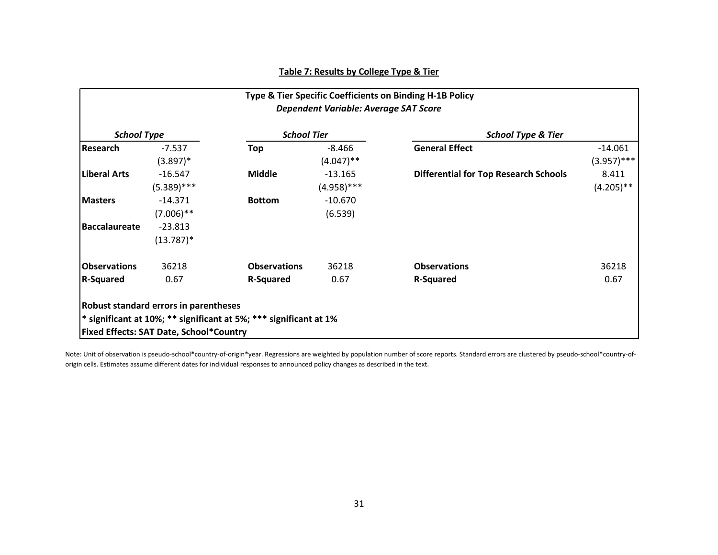| <b>School Type</b>   |               |                     | <b>School Tier</b> | <b>School Type &amp; Tier</b>                |               |  |
|----------------------|---------------|---------------------|--------------------|----------------------------------------------|---------------|--|
| <b>Research</b>      | $-7.537$      | Top                 | -8.466             | <b>General Effect</b>                        | -14.061       |  |
|                      | $(3.897)^*$   |                     | $(4.047)$ **       |                                              | $(3.957)$ *** |  |
| <b>Liberal Arts</b>  | $-16.547$     | <b>Middle</b>       | $-13.165$          | <b>Differential for Top Research Schools</b> | 8.411         |  |
|                      | $(5.389)$ *** |                     | $(4.958)$ ***      |                                              | $(4.205)$ **  |  |
| <b>Masters</b>       | $-14.371$     | <b>Bottom</b>       | $-10.670$          |                                              |               |  |
|                      | $(7.006)$ **  |                     | (6.539)            |                                              |               |  |
| <b>Baccalaureate</b> | $-23.813$     |                     |                    |                                              |               |  |
|                      | $(13.787)^*$  |                     |                    |                                              |               |  |
| <b>Observations</b>  | 36218         | <b>Observations</b> | 36218              | <b>Observations</b>                          | 36218         |  |
| <b>R-Squared</b>     | 0.67          | <b>R-Squared</b>    | 0.67               | <b>R-Squared</b>                             | 0.67          |  |

Note: Unit of observation is pseudo-school\*country-of-origin\*year. Regressions are weighted by population number of score reports. Standard errors are clustered by pseudo-school\*country-oforigin cells. Estimates assume different dates for individual responses to announced policy changes as described in the text.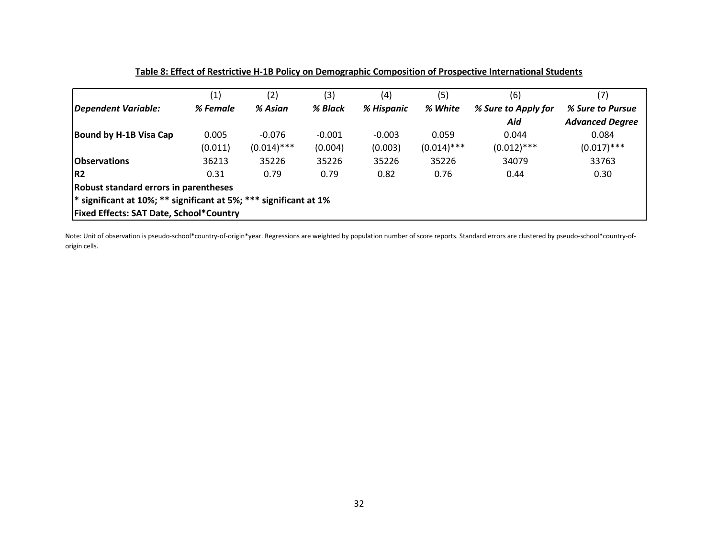|                                                                              | (1)                                            | (2)           | (3)      | (4)        | (5)           | (6)                 | (7)                    |  |  |
|------------------------------------------------------------------------------|------------------------------------------------|---------------|----------|------------|---------------|---------------------|------------------------|--|--|
| Dependent Variable:                                                          | % Female                                       | % Asian       | % Black  | % Hispanic | % White       | % Sure to Apply for | % Sure to Pursue       |  |  |
|                                                                              |                                                |               |          |            |               | Aid                 | <b>Advanced Degree</b> |  |  |
| Bound by H-1B Visa Cap                                                       | 0.005                                          | $-0.076$      | $-0.001$ | $-0.003$   | 0.059         | 0.044               | 0.084                  |  |  |
|                                                                              | (0.011)                                        | $(0.014)$ *** | (0.004)  | (0.003)    | $(0.014)$ *** | $(0.012)$ ***       | $(0.017)$ ***          |  |  |
| <b>Observations</b>                                                          | 36213                                          | 35226         | 35226    | 35226      | 35226         | 34079               | 33763                  |  |  |
| IR <sub>2</sub>                                                              | 0.31                                           | 0.79          | 0.79     | 0.82       | 0.76          | 0.44                | 0.30                   |  |  |
| Robust standard errors in parentheses                                        |                                                |               |          |            |               |                     |                        |  |  |
| <sup>*</sup> significant at 10%; ** significant at 5%; *** significant at 1% |                                                |               |          |            |               |                     |                        |  |  |
|                                                                              | <b>Fixed Effects: SAT Date, School*Country</b> |               |          |            |               |                     |                        |  |  |

**Table 8: Effect of Restrictive H-1B Policy on Demographic Composition of Prospective International Students**

Note: Unit of observation is pseudo-school\*country-of-origin\*year. Regressions are weighted by population number of score reports. Standard errors are clustered by pseudo-school\*country-oforigin cells.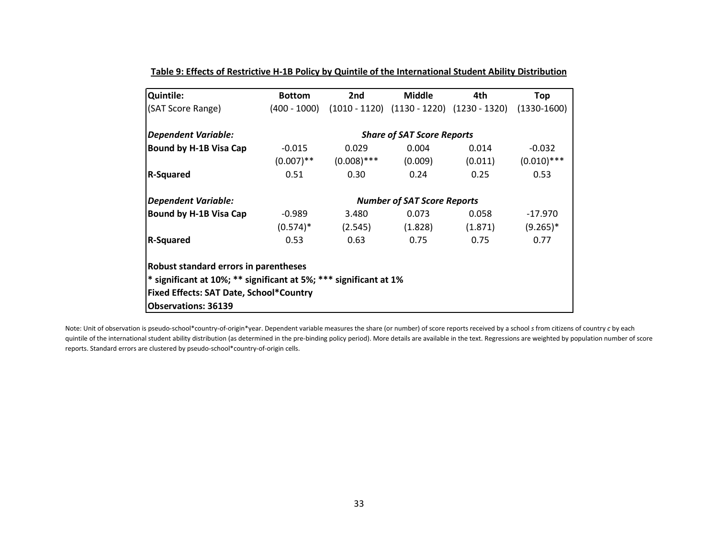| <b>Quintile:</b>                                                             | <b>Bottom</b> | 2nd                                              | <b>Middle</b>                      | 4th                                                             | Top           |  |  |  |
|------------------------------------------------------------------------------|---------------|--------------------------------------------------|------------------------------------|-----------------------------------------------------------------|---------------|--|--|--|
| (SAT Score Range)                                                            | (400 - 1000)  |                                                  |                                    | $(1010 - 1120)$ $(1130 - 1220)$ $(1230 - 1320)$ $(1330 - 1600)$ |               |  |  |  |
| <b>Dependent Variable:</b>                                                   |               |                                                  | <b>Share of SAT Score Reports</b>  |                                                                 |               |  |  |  |
| Bound by H-1B Visa Cap                                                       | $-0.015$      | 0.029                                            | 0.004                              | 0.014                                                           | $-0.032$      |  |  |  |
|                                                                              |               | $(0.007)$ <sup>**</sup> $(0.008)$ <sup>***</sup> | (0.009)                            | (0.011)                                                         | $(0.010)$ *** |  |  |  |
| <b>R-Squared</b>                                                             | 0.51          | 0.30                                             | 0.24                               | 0.25                                                            | 0.53          |  |  |  |
| <b>Dependent Variable:</b>                                                   |               |                                                  | <b>Number of SAT Score Reports</b> |                                                                 |               |  |  |  |
| <b>Bound by H-1B Visa Cap</b>                                                | $-0.989$      | 3.480                                            | 0.073                              | 0.058                                                           | -17.970       |  |  |  |
|                                                                              | $(0.574)^*$   | (2.545)                                          | (1.828)                            | (1.871)                                                         | $(9.265)^*$   |  |  |  |
| <b>R-Squared</b>                                                             | 0.53          | 0.63                                             | 0.75                               | 0.75                                                            | 0.77          |  |  |  |
| Robust standard errors in parentheses                                        |               |                                                  |                                    |                                                                 |               |  |  |  |
| <sup>*</sup> significant at 10%; ** significant at 5%; *** significant at 1% |               |                                                  |                                    |                                                                 |               |  |  |  |
| <b>Fixed Effects: SAT Date, School*Country</b>                               |               |                                                  |                                    |                                                                 |               |  |  |  |
| <b>Observations: 36139</b>                                                   |               |                                                  |                                    |                                                                 |               |  |  |  |

**Table 9: Effects of Restrictive H-1B Policy by Quintile of the International Student Ability Distribution**

Note: Unit of observation is pseudo-school\*country-of-origin\*year. Dependent variable measures the share (or number) of score reports received by a school *s* from citizens of country *c* by each quintile of the international student ability distribution (as determined in the pre-binding policy period). More details are available in the text. Regressions are weighted by population number of score reports. Standard errors are clustered by pseudo-school\*country-of-origin cells.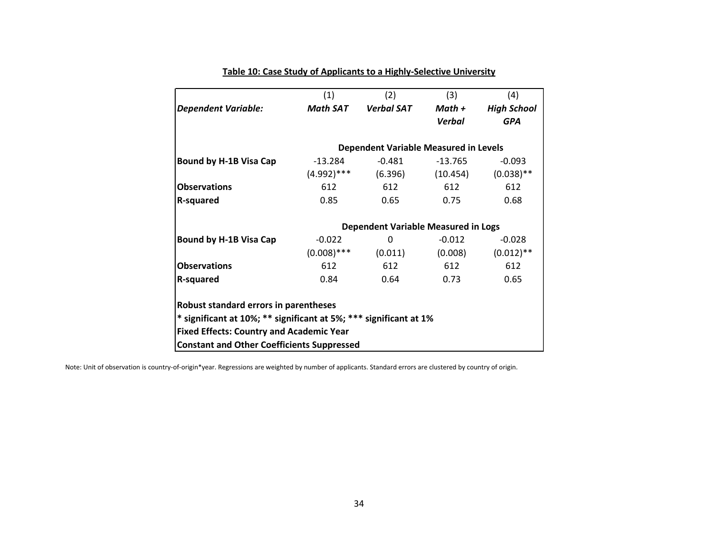|                                                                                                                                                               | (1)             | (2)                                          | (3)           | (4)                |  |  |  |  |  |
|---------------------------------------------------------------------------------------------------------------------------------------------------------------|-----------------|----------------------------------------------|---------------|--------------------|--|--|--|--|--|
| <b>Dependent Variable:</b>                                                                                                                                    | <b>Math SAT</b> | <b>Verbal SAT</b>                            | $Math +$      | <b>High School</b> |  |  |  |  |  |
|                                                                                                                                                               |                 |                                              | <b>Verbal</b> | <b>GPA</b>         |  |  |  |  |  |
|                                                                                                                                                               |                 |                                              |               |                    |  |  |  |  |  |
|                                                                                                                                                               |                 | <b>Dependent Variable Measured in Levels</b> |               |                    |  |  |  |  |  |
| Bound by H-1B Visa Cap                                                                                                                                        | $-13.284$       | $-0.481$                                     | $-13.765$     | $-0.093$           |  |  |  |  |  |
|                                                                                                                                                               | $(4.992)$ ***   | (6.396)                                      | (10.454)      | $(0.038)$ **       |  |  |  |  |  |
| <b>Observations</b>                                                                                                                                           | 612             | 612                                          | 612           | 612                |  |  |  |  |  |
| R-squared                                                                                                                                                     | 0.85            | 0.65                                         | 0.75          | 0.68               |  |  |  |  |  |
|                                                                                                                                                               |                 | Dependent Variable Measured in Logs          |               |                    |  |  |  |  |  |
| <b>Bound by H-1B Visa Cap</b>                                                                                                                                 | $-0.022$        | 0                                            | $-0.012$      | $-0.028$           |  |  |  |  |  |
|                                                                                                                                                               | $(0.008)$ ***   | (0.011)                                      | (0.008)       | $(0.012)$ **       |  |  |  |  |  |
| <b>Observations</b>                                                                                                                                           | 612             | 612                                          | 612           | 612                |  |  |  |  |  |
| R-squared                                                                                                                                                     | 0.84            | 0.64                                         | 0.73          | 0.65               |  |  |  |  |  |
| Robust standard errors in parentheses<br>* significant at 10%; ** significant at 5%; *** significant at 1%<br><b>Fixed Effects: Country and Academic Year</b> |                 |                                              |               |                    |  |  |  |  |  |
| <b>Constant and Other Coefficients Suppressed</b>                                                                                                             |                 |                                              |               |                    |  |  |  |  |  |

### **Table 10: Case Study of Applicants to a Highly-Selective University**

Note: Unit of observation is country-of-origin\*year. Regressions are weighted by number of applicants. Standard errors are clustered by country of origin.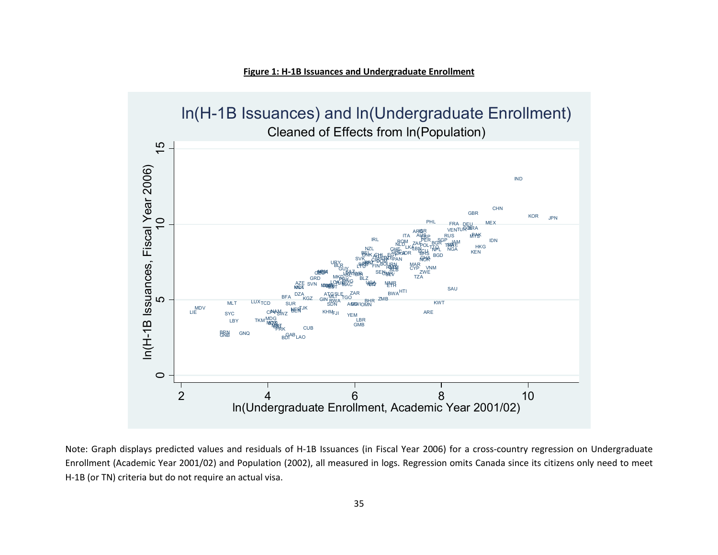



Note: Graph displays predicted values and residuals of H-1B Issuances (in Fiscal Year 2006) for a cross-country regression on Undergraduate Enrollment (Academic Year 2001/02) and Population (2002), all measured in logs. Regression omits Canada since its citizens only need to meet H-1B (or TN) criteria but do not require an actual visa.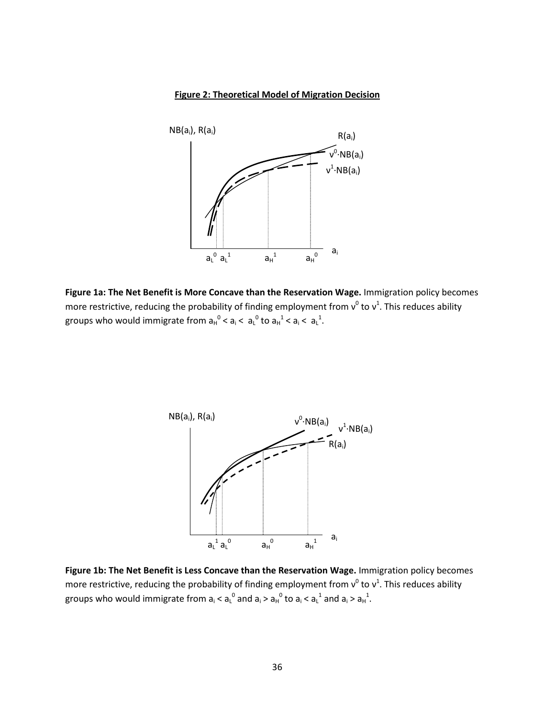### **Figure 2: Theoretical Model of Migration Decision**



**Figure 1a: The Net Benefit is More Concave than the Reservation Wage.** Immigration policy becomes more restrictive, reducing the probability of finding employment from  $v^0$  to  $v^1$ . This reduces ability groups who would immigrate from  $a_H^0 < a_I < a_L^0$  to  $a_H^1 < a_I < a_L^1$ .



**Figure 1b: The Net Benefit is Less Concave than the Reservation Wage.** Immigration policy becomes more restrictive, reducing the probability of finding employment from  $v^0$  to  $v^1$ . This reduces ability groups who would immigrate from  $a_i < a_l^0$  and  $a_i > a_H^0$  to  $a_i < a_l^1$  and  $a_i > a_H^1$ .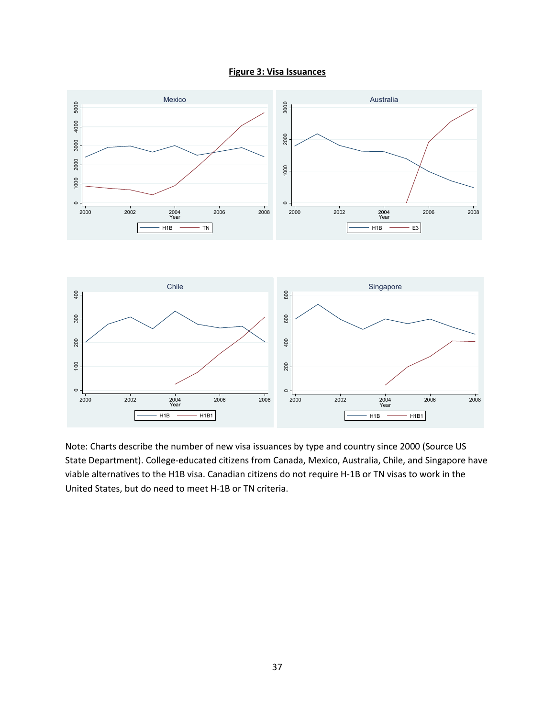



Note: Charts describe the number of new visa issuances by type and country since 2000 (Source US State Department). College-educated citizens from Canada, Mexico, Australia, Chile, and Singapore have viable alternatives to the H1B visa. Canadian citizens do not require H-1B or TN visas to work in the United States, but do need to meet H-1B or TN criteria.